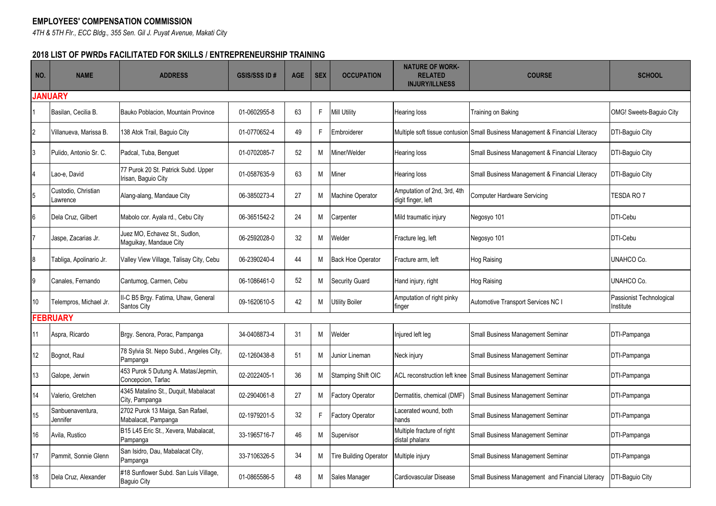## **EMPLOYEES' COMPENSATION COMMISSION**

*4TH & 5TH Flr., ECC Bldg., 355 Sen. Gil J. Puyat Avenue, Makati City*

## **2018 LIST OF PWRDs FACILITATED FOR SKILLS / ENTREPRENEURSHIP TRAINING**

| NO.            | <b>NAME</b>                     | <b>ADDRESS</b>                                              | <b>GSIS/SSS ID#</b> | <b>AGE</b> | <b>SEX</b> | <b>OCCUPATION</b>             | <b>NATURE OF WORK-</b><br><b>RELATED</b><br><b>INJURY/ILLNESS</b> | <b>COURSE</b>                                                                 | <b>SCHOOL</b>                         |
|----------------|---------------------------------|-------------------------------------------------------------|---------------------|------------|------------|-------------------------------|-------------------------------------------------------------------|-------------------------------------------------------------------------------|---------------------------------------|
| <b>JANUARY</b> |                                 |                                                             |                     |            |            |                               |                                                                   |                                                                               |                                       |
|                | Basilan, Cecilia B.             | Bauko Poblacion. Mountain Province                          | 01-0602955-8        | 63         | F.         | <b>Mill Utility</b>           | Hearing loss                                                      | Training on Baking                                                            | OMG! Sweets-Baquio City               |
| 2              | Villanueva, Marissa B.          | 138 Atok Trail, Baquio City                                 | 01-0770652-4        | 49         | F          | Embroiderer                   |                                                                   | Multiple soft tissue contusion Small Business Management & Financial Literacy | DTI-Baguio City                       |
|                | Pulido, Antonio Sr. C.          | Padcal, Tuba, Benguet                                       | 01-0702085-7        | 52         | M          | Miner/Welder                  | Hearing loss                                                      | Small Business Management & Financial Literacy                                | DTI-Baguio City                       |
|                | Lao-e, David                    | 77 Purok 20 St. Patrick Subd. Upper<br>Irisan, Baguio City  | 01-0587635-9        | 63         | м          | Miner                         | Hearing loss                                                      | Small Business Management & Financial Literacy                                | DTI-Baguio City                       |
|                | Custodio, Christian<br>Lawrence | Alang-alang, Mandaue City                                   | 06-3850273-4        | 27         | М          | Machine Operator              | Amputation of 2nd, 3rd, 4th<br>digit finger, left                 | <b>Computer Hardware Servicing</b>                                            | TESDA RO 7                            |
|                | Dela Cruz. Gilbert              | Mabolo cor. Ayala rd., Cebu City                            | 06-3651542-2        | 24         | M          | Carpenter                     | Mild traumatic injury                                             | Negosyo 101                                                                   | DTI-Cebu                              |
|                | Jaspe, Zacarias Jr.             | Juez MO, Echavez St., Sudlon,<br>Maguikay, Mandaue City     | 06-2592028-0        | 32         | M          | Welder                        | Fracture leg, left                                                | Negosyo 101                                                                   | DTI-Cebu                              |
| 8              | Tabliga, Apolinario Jr.         | Valley View Village, Talisay City, Cebu                     | 06-2390240-4        | 44         | М          | <b>Back Hoe Operator</b>      | Fracture arm. left                                                | Hog Raising                                                                   | UNAHCO Co.                            |
|                | Canales, Fernando               | Cantumog, Carmen, Cebu                                      | 06-1086461-0        | 52         | M          | <b>Security Guard</b>         | Hand injury, right                                                | Hog Raising                                                                   | UNAHCO Co.                            |
| 10             | Telempros, Michael Jr.          | II-C B5 Brgy. Fatima, Uhaw, General<br>Santos City          | 09-1620610-5        | 42         | M          | <b>Utility Boiler</b>         | Amputation of right pinky<br>finger                               | <b>Automotive Transport Services NC I</b>                                     | Passionist Technological<br>Institute |
|                | <b>FEBRUARY</b>                 |                                                             |                     |            |            |                               |                                                                   |                                                                               |                                       |
| 11             | Aspra, Ricardo                  | Brgy. Senora, Porac, Pampanga                               | 34-0408873-4        | 31         | М          | Welder                        | Injured left leg                                                  | Small Business Management Seminar                                             | DTI-Pampanga                          |
| 12             | Bognot, Raul                    | 78 Sylvia St. Nepo Subd., Angeles City,<br>Pampanga         | 02-1260438-8        | 51         | М          | Junior Lineman                | Neck injury                                                       | Small Business Management Seminar                                             | DTI-Pampanga                          |
| 13             | Galope, Jerwin                  | 453 Purok 5 Dutung A. Matas/Jepmin,<br>Concepcion, Tarlac   | 02-2022405-1        | 36         | M          | Stamping Shift OIC            | ACL reconstruction left knee                                      | Small Business Management Seminar                                             | DTI-Pampanga                          |
| 14             | Valerio, Gretchen               | 4345 Matalino St., Duquit, Mabalacat<br>City, Pampanga      | 02-2904061-8        | 27         | M          | Factory Operator              | Dermatitis, chemical (DMF)                                        | Small Business Management Seminar                                             | DTI-Pampanga                          |
| 15             | Sanbuenaventura,<br>Jennifer    | 2702 Purok 13 Maiga, San Rafael,<br>Mabalacat, Pampanga     | 02-1979201-5        | 32         | F.         | actory Operator               | Lacerated wound, both<br>hands                                    | Small Business Management Seminar                                             | DTI-Pampanga                          |
| 16             | Avila, Rustico                  | B15 L45 Eric St., Xevera, Mabalacat,<br>Pampanga            | 33-1965716-7        | 46         | M          | Supervisor                    | Multiple fracture of right<br>distal phalanx                      | Small Business Management Seminar                                             | DTI-Pampanga                          |
| 17             | Pammit, Sonnie Glenn            | San Isidro, Dau, Mabalacat City,<br>Pampanga                | 33-7106326-5        | 34         | M          | <b>Tire Building Operator</b> | Multiple injury                                                   | Small Business Management Seminar                                             | DTI-Pampanga                          |
| 18             | Dela Cruz, Alexander            | #18 Sunflower Subd. San Luis Village,<br><b>Baguio City</b> | 01-0865586-5        | 48         | м          | Sales Manager                 | Cardiovascular Disease                                            | Small Business Management and Financial Literacy                              | DTI-Baguio City                       |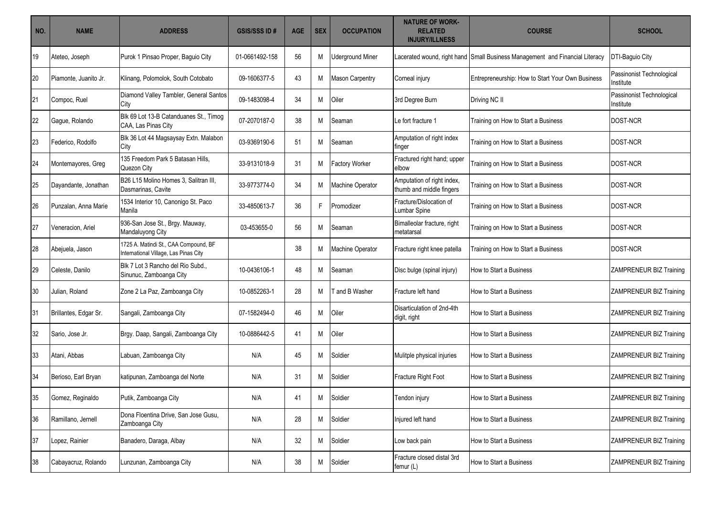| NO. | <b>NAME</b>           | <b>ADDRESS</b>                                                                 | <b>GSIS/SSS ID#</b> | <b>AGE</b> | <b>SEX</b> | <b>OCCUPATION</b>       | <b>NATURE OF WORK-</b><br><b>RELATED</b><br><b>INJURY/ILLNESS</b> | <b>COURSE</b>                                                                | <b>SCHOOL</b>                          |
|-----|-----------------------|--------------------------------------------------------------------------------|---------------------|------------|------------|-------------------------|-------------------------------------------------------------------|------------------------------------------------------------------------------|----------------------------------------|
| 19  | Ateteo, Joseph        | Purok 1 Pinsao Proper, Baguio City                                             | 01-0661492-158      | 56         | M          | <b>Uderground Miner</b> |                                                                   | Lacerated wound, right hand Small Business Management and Financial Literacy | DTI-Baguio City                        |
| 20  | Piamonte, Juanito Jr. | Klinang, Polomolok, South Cotobato                                             | 09-1606377-5        | 43         | M          | <b>Mason Carpentry</b>  | Corneal injury                                                    | Entrepreneurship: How to Start Your Own Business                             | Passinonist Technological<br>Institute |
| 21  | Compoc, Ruel          | Diamond Valley Tambler, General Santos<br>City                                 | 09-1483098-4        | 34         | M          | Oiler                   | 3rd Degree Burn                                                   | Driving NC II                                                                | Passinonist Technological<br>Institute |
| 22  | Gague, Rolando        | Blk 69 Lot 13-B Catanduanes St., Timog<br>CAA. Las Pinas City                  | 07-2070187-0        | 38         | M          | Seaman                  | Le fort fracture 1                                                | Training on How to Start a Business                                          | DOST-NCR                               |
| 23  | Federico, Rodolfo     | Blk 36 Lot 44 Magsaysay Extn. Malabon<br>City                                  | 03-9369190-6        | 51         | M          | Seaman                  | Amputation of right index<br>finger                               | Training on How to Start a Business                                          | DOST-NCR                               |
| 24  | Montemayores, Greg    | 135 Freedom Park 5 Batasan Hills,<br>Quezon City                               | 33-9131018-9        | 31         | M          | Factory Worker          | Fractured right hand; upper<br>elbow                              | Training on How to Start a Business                                          | DOST-NCR                               |
| 25  | Dayandante, Jonathan  | B26 L15 Molino Homes 3, Salitran III,<br>Dasmarinas, Cavite                    | 33-9773774-0        | 34         | M          | <b>Machine Operator</b> | Amputation of right index,<br>thumb and middle fingers            | Training on How to Start a Business                                          | DOST-NCR                               |
| 26  | Punzalan, Anna Marie  | 1534 Interior 10, Canonigo St. Paco<br>Manila                                  | 33-4850613-7        | 36         | F          | Promodizer              | Fracture/Dislocation of<br>Lumbar Spine                           | Training on How to Start a Business                                          | DOST-NCR                               |
| 27  | Veneracion, Ariel     | 936-San Jose St., Brgy. Mauway,<br>Mandaluyong City                            | 03-453655-0         | 56         | M          | Seaman                  | Bimalleolar fracture, right<br>metatarsal                         | Training on How to Start a Business                                          | DOST-NCR                               |
| 28  | Abejuela, Jason       | 1725 A. Matindi St., CAA Compound, BF<br>International Village, Las Pinas City |                     | 38         | M          | Machine Operator        | Fracture right knee patella                                       | Training on How to Start a Business                                          | DOST-NCR                               |
| 29  | Celeste, Danilo       | Blk 7 Lot 3 Rancho del Rio Subd.,<br>Sinunuc, Zamboanga City                   | 10-0436106-1        | 48         | M          | Seaman                  | Disc bulge (spinal injury)                                        | How to Start a Business                                                      | ZAMPRENEUR BIZ Training                |
| 30  | Julian, Roland        | Zone 2 La Paz, Zamboanga City                                                  | 10-0852263-1        | 28         | M          | <b>Tand B Washer</b>    | Fracture left hand                                                | How to Start a Business                                                      | ZAMPRENEUR BIZ Training                |
| 31  | Brillantes, Edgar Sr. | Sangali, Zamboanga City                                                        | 07-1582494-0        | 46         | M          | Oiler                   | Disarticulation of 2nd-4th<br>digit, right                        | How to Start a Business                                                      | ZAMPRENEUR BIZ Training                |
| 32  | Sario, Jose Jr.       | Brgy. Daap, Sangali, Zamboanga City                                            | 10-0886442-5        | 41         | M          | Oiler                   |                                                                   | How to Start a Business                                                      | ZAMPRENEUR BIZ Training                |
| 33  | Atani, Abbas          | Labuan, Zamboanga City                                                         | N/A                 | 45         | M          | Soldier                 | Mulitple physical injuries                                        | How to Start a Business                                                      | ZAMPRENEUR BIZ Training                |
| 34  | Berioso, Earl Bryan   | katipunan, Zamboanga del Norte                                                 | N/A                 | 31         | M          | Soldier                 | Fracture Right Foot                                               | How to Start a Business                                                      | ZAMPRENEUR BIZ Training                |
| 35  | Gomez, Reginaldo      | Putik, Zamboanga City                                                          | N/A                 | 41         | M          | Soldier                 | Tendon injury                                                     | How to Start a Business                                                      | ZAMPRENEUR BIZ Training                |
| 36  | Ramillano, Jernell    | Dona Floentina Drive, San Jose Gusu,<br>Zamboanga City                         | N/A                 | 28         | M          | Soldier                 | Injured left hand                                                 | How to Start a Business                                                      | ZAMPRENEUR BIZ Training                |
| 37  | Lopez, Rainier        | Banadero, Daraga, Albay                                                        | N/A                 | 32         | M          | Soldier                 | Low back pain                                                     | How to Start a Business                                                      | ZAMPRENEUR BIZ Training                |
| 38  | Cabayacruz, Rolando   | Lunzunan, Zamboanga City                                                       | N/A                 | 38         | M          | Soldier                 | Fracture closed distal 3rd<br>femur (L)                           | How to Start a Business                                                      | ZAMPRENEUR BIZ Training                |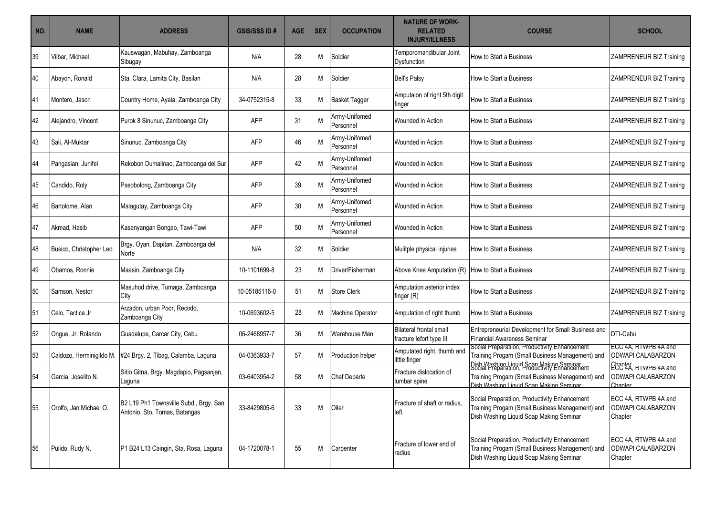| NO. | <b>NAME</b>              | <b>ADDRESS</b>                                                          | <b>GSIS/SSS ID#</b> | <b>AGE</b> | <b>SEX</b> | <b>OCCUPATION</b>          | <b>NATURE OF WORK-</b><br><b>RELATED</b><br><b>INJURY/ILLNESS</b> | <b>COURSE</b>                                                                                                                                                                                | <b>SCHOOL</b>                                                            |
|-----|--------------------------|-------------------------------------------------------------------------|---------------------|------------|------------|----------------------------|-------------------------------------------------------------------|----------------------------------------------------------------------------------------------------------------------------------------------------------------------------------------------|--------------------------------------------------------------------------|
| 39  | Vilbar, Michael          | Kauswagan, Mabuhay, Zamboanga<br>Sibugay                                | N/A                 | 28         | M          | Soldier                    | Temporomandibular Joint<br>Dysfunction                            | How to Start a Business                                                                                                                                                                      | <b>ZAMPRENEUR BIZ Training</b>                                           |
| 40  | Abayon, Ronald           | Sta. Clara, Lamita City, Basilan                                        | N/A                 | 28         | M          | Soldier                    | <b>Bell's Palsy</b>                                               | How to Start a Business                                                                                                                                                                      | <b>ZAMPRENEUR BIZ Training</b>                                           |
| 41  | Montero, Jason           | Country Home, Ayala, Zamboanga City                                     | 34-0752315-8        | 33         | M          | <b>Basket Tagger</b>       | Amputaion of right 5th digit<br>finger                            | How to Start a Business                                                                                                                                                                      | <b>ZAMPRENEUR BIZ Training</b>                                           |
| 42  | Alejandro, Vincent       | Purok 8 Sinunuc, Zamboanga City                                         | <b>AFP</b>          | 31         | M          | Army-Unifomed<br>Personnel | Wounded in Action                                                 | How to Start a Business                                                                                                                                                                      | ZAMPRENEUR BIZ Training                                                  |
| 43  | Sali, Al-Muktar          | Sinunuc, Zamboanga City                                                 | AFP                 | 46         | M          | Army-Unifomed<br>Personnel | Wounded in Action                                                 | How to Start a Business                                                                                                                                                                      | <b>ZAMPRENEUR BIZ Training</b>                                           |
| 44  | Pangasian, Junifel       | Rekobon Dumalinao, Zamboanga del Sur                                    | <b>AFP</b>          | 42         | M          | Army-Unifomed<br>Personnel | Wounded in Action                                                 | How to Start a Business                                                                                                                                                                      | <b>ZAMPRENEUR BIZ Training</b>                                           |
| 45  | Candido, Roly            | Pasobolong, Zamboanga City                                              | <b>AFP</b>          | 39         | M          | Army-Unifomed<br>Personnel | Wounded in Action                                                 | How to Start a Business                                                                                                                                                                      | <b>ZAMPRENEUR BIZ Training</b>                                           |
| 46  | Bartolome, Alan          | Malagutay, Zamboanga City                                               | AFP                 | 30         | M          | Army-Unifomed<br>Personnel | Wounded in Action                                                 | How to Start a Business                                                                                                                                                                      | ZAMPRENEUR BIZ Training                                                  |
| 47  | Akmad. Hasib             | Kasanyangan Bongao, Tawi-Tawi                                           | AFP                 | 50         | M          | Army-Unifomed<br>Personnel | Wounded in Action                                                 | How to Start a Business                                                                                                                                                                      | <b>ZAMPRENEUR BIZ Training</b>                                           |
| 48  | Busico, Christopher Leo  | Brgy. Oyan, Dapitan, Zamboanga del<br>Norte                             | N/A                 | 32         | M          | Soldier                    | Mulitple physical injuries                                        | How to Start a Business                                                                                                                                                                      | ZAMPRENEUR BIZ Training                                                  |
| 49  | Obamos, Ronnie           | Maasin, Zamboanga City                                                  | 10-1101699-8        | 23         | м          | Driver/Fisherman           | Above Knee Amputation (R) How to Start a Business                 |                                                                                                                                                                                              | ZAMPRENEUR BIZ Training                                                  |
| 50  | Samson, Nestor           | Masuhod drive, Tumaga, Zamboanga<br>City                                | 10-05185116-0       | 51         | м          | <b>Store Clerk</b>         | Amputation asterior index<br>finger $(R)$                         | How to Start a Business                                                                                                                                                                      | ZAMPRENEUR BIZ Training                                                  |
| 51  | Celo, Tactica Jr         | Arzadon, urban Poor, Recodo,<br>Zamboanga City                          | 10-0693602-5        | 28         | M          | Aachine Operator           | Amputation of right thumb                                         | How to Start a Business                                                                                                                                                                      | ZAMPRENEUR BIZ Training                                                  |
| 52  | Ongue, Jr. Rolando       | Guadalupe, Carcar City, Cebu                                            | 06-2468957-7        | 36         | M          | Warehouse Man              | <b>Bilateral frontal small</b><br>fracture lefort type III        | Entrepreneurial Development for Small Business and<br><b>Financial Awareness Seminar</b>                                                                                                     | DTI-Cebu                                                                 |
| 53  | Caldozo, Herminigildo M. | #24 Brgy. 2, Tibag, Calamba, Laguna                                     | 04-0363933-7        | 57         | M          | Production helper          | Amputated right, thumb and<br>little finger                       | Social Preparatiion, Productivity Enhancement<br>Training Progam (Small Business Management) and<br>Dish Washing Liquid Soan Making Seminar<br>Social Preparatiion, Productivity Enhancement | ECC 4A, RTWPB 4A and<br><b>ODWAPI CALABARZON</b><br>ECC 4A, RIWPB 4A and |
| 54  | Garcia, Joselito N.      | Sitio Gitna, Brgy. Magdapio, Pagsanjan,<br>_aguna                       | 03-6403954-2        | 58         | м          | Chef Departe               | Fracture dislocation of<br>umbar spine                            | Training Progam (Small Business Management) and<br>Dish Washing Liquid Soan Making Seminar                                                                                                   | <b>ODWAPI CALABARZON</b><br>Chanter                                      |
| 55  | Orolfo, Jan Michael O.   | B2 L19 Ph1 Townsville Subd., Brgy. San<br>Antonio, Sto. Tomas, Batangas | 33-8429805-6        | 33         | М          | Oiler                      | Fracture of shaft or radius,<br>left                              | Social Preparatiion, Productivity Enhancement<br>Training Progam (Small Business Management) and<br>Dish Washing Liquid Soap Making Seminar                                                  | ECC 4A, RTWPB 4A and<br><b>ODWAPI CALABARZON</b><br>Chapter              |
| 56  | Pulido, Rudy N.          | P1 B24 L13 Caingin, Sta. Rosa, Laguna                                   | 04-1720078-1        | 55         | M          | Carpenter                  | Fracture of lower end of<br>radius                                | Social Preparatiion, Productivity Enhancement<br>Training Progam (Small Business Management) and<br>Dish Washing Liquid Soap Making Seminar                                                  | ECC 4A, RTWPB 4A and<br>ODWAPI CALABARZON<br>Chapter                     |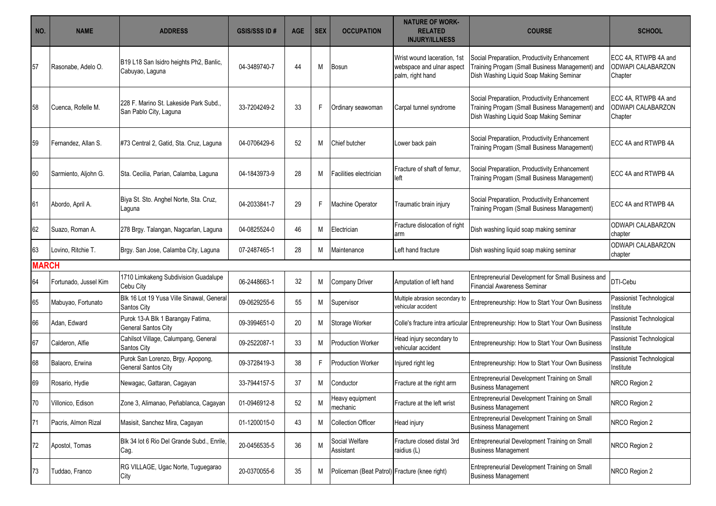| NO.          | <b>NAME</b>           | <b>ADDRESS</b>                                                   | <b>GSIS/SSS ID#</b> | <b>AGE</b> | <b>SEX</b> | <b>OCCUPATION</b>                             | <b>NATURE OF WORK-</b><br><b>RELATED</b><br><b>INJURY/ILLNESS</b>            | <b>COURSE</b>                                                                                                                               | <b>SCHOOL</b>                                               |
|--------------|-----------------------|------------------------------------------------------------------|---------------------|------------|------------|-----------------------------------------------|------------------------------------------------------------------------------|---------------------------------------------------------------------------------------------------------------------------------------------|-------------------------------------------------------------|
| 57           | Rasonabe, Adelo O.    | B19 L18 San Isidro heights Ph2, Banlic,<br>Cabuyao, Laguna       | 04-3489740-7        | 44         | М          | Bosun                                         | Wrist wound laceration, 1st<br>webspace and ulnar aspect<br>palm, right hand | Social Preparatiion, Productivity Enhancement<br>Training Progam (Small Business Management) and<br>Dish Washing Liquid Soap Making Seminar | ECC 4A, RTWPB 4A and<br><b>ODWAPI CALABARZON</b><br>Chapter |
| 58           | Cuenca, Rofelle M.    | 228 F. Marino St. Lakeside Park Subd.,<br>San Pablo City, Laguna | 33-7204249-2        | 33         | F          | Ordinary seawoman                             | Carpal tunnel syndrome                                                       | Social Preparatiion, Productivity Enhancement<br>Training Progam (Small Business Management) and<br>Dish Washing Liquid Soap Making Seminar | ECC 4A, RTWPB 4A and<br><b>ODWAPI CALABARZON</b><br>Chapter |
| 59           | Fernandez, Allan S.   | #73 Central 2, Gatid, Sta. Cruz, Laguna                          | 04-0706429-6        | 52         | M          | Chief butcher                                 | Lower back pain                                                              | Social Preparatiion, Productivity Enhancement<br>Training Progam (Small Business Management)                                                | ECC 4A and RTWPB 4A                                         |
| 60           | Sarmiento, Aljohn G.  | Sta. Cecilia, Parian, Calamba, Laguna                            | 04-1843973-9        | 28         | M          | Facilities electrician                        | Fracture of shaft of femur.<br>left                                          | Social Preparatiion, Productivity Enhancement<br>Training Progam (Small Business Management)                                                | ECC 4A and RTWPB 4A                                         |
| 61           | Abordo, April A.      | Biya St. Sto. Anghel Norte, Sta. Cruz,<br>Laguna                 | 04-2033841-7        | 29         | F          | Machine Operator                              | Traumatic brain injury                                                       | Social Preparatiion, Productivity Enhancement<br>Training Progam (Small Business Management)                                                | ECC 4A and RTWPB 4A                                         |
| 62           | Suazo, Roman A.       | 278 Brgy. Talangan, Nagcarlan, Laguna                            | 04-0825524-0        | 46         | М          | Electrician                                   | Fracture dislocation of right<br>arm                                         | Dish washing liquid soap making seminar                                                                                                     | ODWAPI CALABARZON<br>chapter                                |
| 63           | Lovino. Ritchie T.    | Brgy. San Jose, Calamba City, Laguna                             | 07-2487465-1        | 28         | М          | Maintenance                                   | Left hand fracture                                                           | Dish washing liquid soap making seminar                                                                                                     | ODWAPI CALABARZON<br>chapter                                |
| <b>MARCH</b> |                       |                                                                  |                     |            |            |                                               |                                                                              |                                                                                                                                             |                                                             |
| 64           | Fortunado, Jussel Kim | 1710 Limkakeng Subdivision Guadalupe<br>Cebu City                | 06-2448663-1        | 32         | М          | <b>Company Driver</b>                         | Amputation of left hand                                                      | Entrepreneurial Development for Small Business and<br><b>Financial Awareness Seminar</b>                                                    | DTI-Cebu                                                    |
| 65           | Mabuyao, Fortunato    | Blk 16 Lot 19 Yusa Ville Sinawal, General<br>Santos City         | 09-0629255-6        | 55         | М          | Supervisor                                    | Multiple abrasion secondary to<br>vehicular accident                         | Entrepreneurship: How to Start Your Own Business                                                                                            | Passionist Technological<br>Institute                       |
| 66           | Adan, Edward          | Purok 13-A Blk 1 Barangay Fatima,<br>General Santos City         | 09-3994651-0        | 20         | М          | Storage Worker                                |                                                                              | Colle's fracture intra articular Entrepreneurship: How to Start Your Own Business                                                           | Passionist Technological<br>Institute                       |
| 67           | Calderon, Alfie       | Cahilsot Village, Calumpang, General<br>Santos City              | 09-2522087-1        | 33         | M          | <b>Production Worker</b>                      | Head injury secondary to<br>vehicular accident                               | Entrepreneurship: How to Start Your Own Business                                                                                            | Passionist Technological<br>Institute                       |
| 68           | Balaoro, Erwina       | Purok San Lorenzo, Brgy. Apopong,<br>General Santos City         | 09-3728419-3        | 38         | F          | <b>Production Worker</b>                      | Injured right leg                                                            | Entrepreneurship: How to Start Your Own Business                                                                                            | Passionist Technological<br>Institute                       |
| 69           | Rosario, Hydie        | Newagac, Gattaran, Cagayan                                       | 33-7944157-5        | 37         | М          | Conductor                                     | Fracture at the right arm                                                    | Entrepreneurial Development Training on Small<br><b>Business Management</b>                                                                 | NRCO Region 2                                               |
| 70           | Villonico, Edison     | Zone 3, Alimanao, Peñablanca, Cagayan                            | 01-0946912-8        | 52         | M          | Heavy equipment<br>mechanic                   | Fracture at the left wrist                                                   | Entrepreneurial Development Training on Small<br><b>Business Management</b>                                                                 | NRCO Region 2                                               |
| 71           | Pacris, Almon Rizal   | Masisit, Sanchez Mira, Cagayan                                   | 01-1200015-0        | 43         | М          | <b>Collection Officer</b>                     | Head injury                                                                  | Entrepreneurial Development Training on Small<br><b>Business Management</b>                                                                 | NRCO Region 2                                               |
| 72           | Apostol, Tomas        | Blk 34 lot 6 Rio Del Grande Subd., Enrile,<br>Cag.               | 20-0456535-5        | 36         | M          | Social Welfare<br>Assistant                   | Fracture closed distal 3rd<br>raidius (L)                                    | Entrepreneurial Development Training on Small<br><b>Business Management</b>                                                                 | NRCO Region 2                                               |
| 73           | Tuddao, Franco        | RG VILLAGE, Ugac Norte, Tuguegarao<br>City                       | 20-0370055-6        | 35         | M          | Policeman (Beat Patrol) Fracture (knee right) |                                                                              | Entrepreneurial Development Training on Small<br><b>Business Management</b>                                                                 | NRCO Region 2                                               |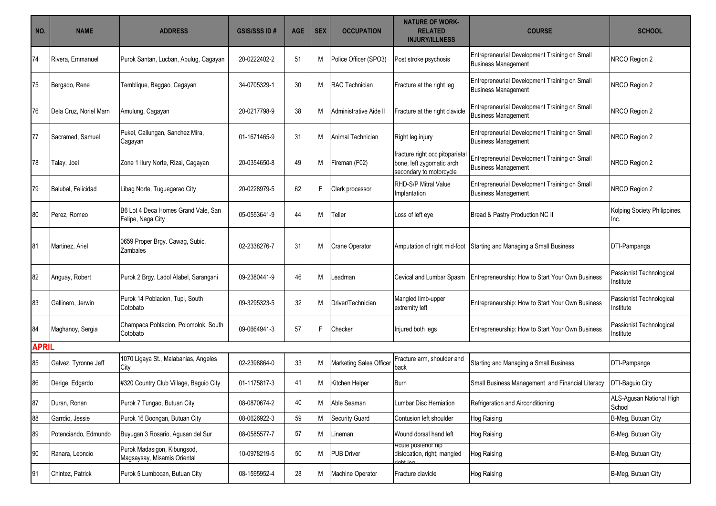| NO.          | <b>NAME</b>            | <b>ADDRESS</b>                                             | <b>GSIS/SSS ID#</b> | <b>AGE</b> | <b>SEX</b> | <b>OCCUPATION</b>       | <b>NATURE OF WORK-</b><br><b>RELATED</b><br><b>INJURY/ILLNESS</b>                       | <b>COURSE</b>                                                               | <b>SCHOOL</b>                         |
|--------------|------------------------|------------------------------------------------------------|---------------------|------------|------------|-------------------------|-----------------------------------------------------------------------------------------|-----------------------------------------------------------------------------|---------------------------------------|
| 74           | Rivera, Emmanuel       | Purok Santan, Lucban, Abulug, Cagayan                      | 20-0222402-2        | 51         | M          | Police Officer (SPO3)   | Post stroke psychosis                                                                   | Entrepreneurial Development Training on Small<br><b>Business Management</b> | NRCO Region 2                         |
| 75           | Bergado, Rene          | Temblique, Baggao, Cagayan                                 | 34-0705329-1        | 30         | M          | RAC Technician          | Fracture at the right leg                                                               | Entrepreneurial Development Training on Small<br><b>Business Management</b> | NRCO Region 2                         |
| 76           | Dela Cruz, Noriel Marn | Amulung, Cagayan                                           | 20-0217798-9        | 38         | M          | Administrative Aide I   | Fracture at the right clavicle                                                          | Entrepreneurial Development Training on Small<br><b>Business Management</b> | NRCO Region 2                         |
| 77           | Sacramed, Samuel       | Pukel, Callungan, Sanchez Mira,<br>Cagayan                 | 01-1671465-9        | 31         | M          | Animal Technician       | Right leg injury                                                                        | Entrepreneurial Development Training on Small<br><b>Business Management</b> | NRCO Region 2                         |
| 78           | Talay, Joel            | Zone 1 Ilury Norte, Rizal, Cagayan                         | 20-0354650-8        | 49         | M          | Fireman (F02)           | fracture right occipitoparietal<br>bone, left zygomatic arch<br>secondary to motorcycle | Entrepreneurial Development Training on Small<br><b>Business Management</b> | NRCO Region 2                         |
| 79           | Balubal, Felicidad     | Libag Norte, Tuguegarao City                               | 20-0228979-5        | 62         | F          | Clerk processor         | RHD-S/P Mitral Value<br>Implantation                                                    | Entrepreneurial Development Training on Small<br><b>Business Management</b> | NRCO Region 2                         |
| 80           | Perez. Romeo           | B6 Lot 4 Deca Homes Grand Vale, San<br>Felipe, Naga City   | 05-0553641-9        | 44         | M          | Teller                  | Loss of left eye                                                                        | Bread & Pastry Production NC II                                             | Kolping Society Philippines,<br>Inc.  |
| 81           | Martinez, Ariel        | 0659 Proper Brgy. Cawag, Subic,<br>Zambales                | 02-2338276-7        | 31         | M          | <b>Crane Operator</b>   |                                                                                         | Amputation of right mid-foot Starting and Managing a Small Business         | DTI-Pampanga                          |
| 82           | Anguay, Robert         | Purok 2 Brgy. Ladol Alabel, Sarangani                      | 09-2380441-9        | 46         | M          | Leadman                 | Cevical and Lumbar Spasm                                                                | Entrepreneurship: How to Start Your Own Business                            | Passionist Technological<br>Institute |
| 83           | Gallinero, Jerwin      | Purok 14 Poblacion, Tupi, South<br>Cotobato                | 09-3295323-5        | 32         | M          | Driver/Technician       | Mangled limb-upper<br>extremity left                                                    | Entrepreneurship: How to Start Your Own Business                            | Passionist Technological<br>Institute |
| 84           | Maghanoy, Sergia       | Champaca Poblacion, Polomolok, South<br>Cotobato           | 09-0664941-3        | 57         | F          | Checker                 | Injured both legs                                                                       | Entrepreneurship: How to Start Your Own Business                            | Passionist Technological<br>nstitute  |
| <b>APRIL</b> |                        |                                                            |                     |            |            |                         |                                                                                         |                                                                             |                                       |
| 85           | Galvez, Tyronne Jeff   | 1070 Ligaya St., Malabanias, Angeles<br>City               | 02-2398864-0        | 33         | M          | Marketing Sales Officer | Fracture arm, shoulder and<br>back                                                      | Starting and Managing a Small Business                                      | DTI-Pampanga                          |
| 86           | Derige, Edgardo        | #320 Country Club Village, Baguio City                     | 01-1175817-3        | 41         | M          | Kitchen Helper          | Burn                                                                                    | Small Business Management and Financial Literacy                            | DTI-Baguio City                       |
| 87           | Duran, Ronan           | Purok 7 Tungao, Butuan City                                | 08-0870674-2        | 40         | М          | Able Seaman             | Lumbar Disc Herniation                                                                  | Refrigeration and Airconditioning                                           | ALS-Agusan National High<br>School    |
| 88           | Garrdio, Jessie        | Purok 16 Boongan, Butuan City                              | 08-0626922-3        | 59         | M          | Security Guard          | Contusion left shoulder                                                                 | <b>Hog Raising</b>                                                          | B-Meg, Butuan City                    |
| 89           | Potenciando, Edmundo   | Buyugan 3 Rosario, Agusan del Sur                          | 08-0585577-7        | 57         | Μ          | Lineman                 | Wound dorsal hand left                                                                  | <b>Hog Raising</b>                                                          | B-Meg, Butuan City                    |
| 90           | Ranara, Leoncio        | Purok Madasigon, Kibungsod,<br>Magsaysay, Misamis Oriental | 10-0978219-5        | 50         | М          | <b>PUB Driver</b>       | Acute posterior nip<br>dislocation, right; mangled<br>right leg                         | <b>Hog Raising</b>                                                          | B-Meg, Butuan City                    |
| 91           | Chintez, Patrick       | Purok 5 Lumbocan, Butuan City                              | 08-1595952-4        | 28         | Μ          | Machine Operator        | Fracture clavicle                                                                       | <b>Hog Raising</b>                                                          | B-Meg, Butuan City                    |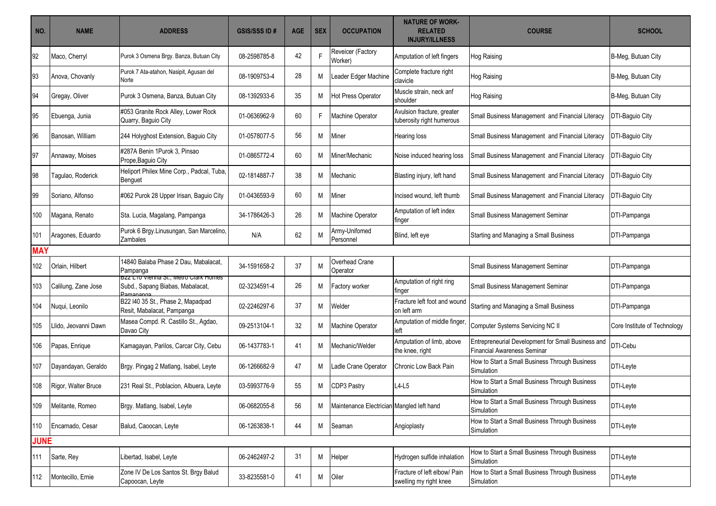| NO.         | <b>NAME</b>          | <b>ADDRESS</b>                                                                         | <b>GSIS/SSS ID#</b> | <b>AGE</b> | <b>SEX</b> | <b>OCCUPATION</b>                         | <b>NATURE OF WORK-</b><br><b>RELATED</b><br><b>INJURY/ILLNESS</b> | <b>COURSE</b>                                                                     | <b>SCHOOL</b>                |
|-------------|----------------------|----------------------------------------------------------------------------------------|---------------------|------------|------------|-------------------------------------------|-------------------------------------------------------------------|-----------------------------------------------------------------------------------|------------------------------|
| 92          | Maco, Cherryl        | Purok 3 Osmena Brgy. Banza, Butuan City                                                | 08-2598785-8        | 42         | F          | Reveicer (Factory<br>(Worker              | Amputation of left fingers                                        | <b>Hog Raising</b>                                                                | B-Meg, Butuan City           |
| 93          | Anova, Chovanly      | Purok 7 Ata-atahon, Nasipit, Agusan del<br>Norte                                       | 08-1909753-4        | 28         | M          | eader Edger Machine                       | Complete fracture right<br>clavicle                               | <b>Hog Raising</b>                                                                | B-Meg, Butuan City           |
| 94          | Gregay, Oliver       | Purok 3 Osmena, Banza, Butuan City                                                     | 08-1392933-6        | 35         | M          | Hot Press Operator                        | Muscle strain, neck anf<br>shoulder                               | <b>Hog Raising</b>                                                                | B-Meg, Butuan City           |
| 95          | Ebuenga, Junia       | #053 Granite Rock Alley, Lower Rock<br>Quarry, Baguio City                             | 01-0636962-9        | 60         | F.         | Machine Operator                          | Avulsion fracture, greater<br>tuberosity right humerous           | Small Business Management and Financial Literacy                                  | DTI-Baguio City              |
| 96          | Banosan, William     | 244 Holyghost Extension, Baguio City                                                   | 01-0578077-5        | 56         | M          | Miner                                     | Hearing loss                                                      | Small Business Management and Financial Literacy                                  | DTI-Baguio City              |
| 97          | Annaway, Moises      | #287A Benin 1Purok 3, Pinsao<br>Prope, Baguio City                                     | 01-0865772-4        | 60         | M          | Miner/Mechanic                            | Noise induced hearing loss                                        | Small Business Management and Financial Literacy                                  | DTI-Baguio City              |
| 98          | Tagulao, Roderick    | Heliport Philex Mine Corp., Padcal, Tuba,<br>Benguet                                   | 02-1814887-7        | 38         | M          | Mechanic                                  | Blasting injury, left hand                                        | Small Business Management and Financial Literacy                                  | DTI-Baguio City              |
| 99          | Soriano, Alfonso     | #062 Purok 28 Upper Irisan, Baguio City                                                | 01-0436593-9        | 60         | M          | Miner                                     | Incised wound, left thumb                                         | Small Business Management and Financial Literacy                                  | DTI-Baguio City              |
| 100         | Magana, Renato       | Sta. Lucia, Magalang, Pampanga                                                         | 34-1786426-3        | 26         | M          | <b>Machine Operator</b>                   | Amputation of left index<br>finger                                | Small Business Management Seminar                                                 | DTI-Pampanga                 |
| 101         | Aragones, Eduardo    | Purok 6 Brgy Linusungan, San Marcelino,<br>Zambales                                    | N/A                 | 62         | M          | Army-Unifomed<br>Personnel                | Blind, left eye                                                   | Starting and Managing a Small Business                                            | DTI-Pampanga                 |
| <b>MAY</b>  |                      |                                                                                        |                     |            |            |                                           |                                                                   |                                                                                   |                              |
| 102         | Orlain, Hilbert      | 14840 Balaba Phase 2 Dau, Mabalacat,<br>Pampanga                                       | 34-1591658-2        | 37         | M          | Overhead Crane<br>Operator                |                                                                   | Small Business Management Seminar                                                 | DTI-Pampanga                 |
| 103         | Calilung, Zane Jose  | BZZ LTU VIENNA St., MEtro Clark Homes<br>Subd., Sapang Biabas, Mabalacat,<br>Damananga | 02-3234591-4        | 26         | M          | Factory worker                            | Amputation of right ring<br>finger                                | Small Business Management Seminar                                                 | DTI-Pampanga                 |
| 104         | Nuqui, Leonilo       | B22 I40 35 St., Phase 2, Mapadpad<br>Resit, Mabalacat, Pampanga                        | 02-2246297-6        | 37         | M          | Welder                                    | Fracture left foot and wound<br>on left arm                       | Starting and Managing a Small Business                                            | DTI-Pampanga                 |
| 105         | Llido, Jeovanni Dawn | Masea Compd. R. Castillo St., Agdao,<br>Davao City                                     | 09-2513104-1        | 32         | M          | Machine Operator                          | Amputation of middle finger,<br>left                              | Computer Systems Servicing NC II                                                  | Core Institute of Technology |
| 106         | Papas, Enrique       | Kamagayan, Parilos, Carcar City, Cebu                                                  | 06-1437783-1        | 41         | M          | Mechanic/Welder                           | Amputation of limb, above<br>the knee, right                      | Entrepreneurial Development for Small Business and<br>Financial Awareness Seminar | DTI-Cebu                     |
| 107         | Dayandayan, Geraldo  | Brgy. Pingag 2 Matlang, Isabel, Leyte                                                  | 06-1266682-9        | 47         | M          | Ladle Crane Operator                      | Chronic Low Back Pain                                             | How to Start a Small Business Through Business<br>Simulation                      | DTI-Leyte                    |
| 108         | Rigor, Walter Bruce  | 231 Real St., Poblacion, Albuera, Leyte                                                | 03-5993776-9        | 55         | M          | CDP3 Pastry                               | $L4-L5$                                                           | How to Start a Small Business Through Business<br>Simulation                      | DTI-Leyte                    |
| 109         | Melitante, Romeo     | Brgy. Matlang, Isabel, Leyte                                                           | 06-0682055-8        | 56         | M          | Maintenance Electrician Mangled left hand |                                                                   | How to Start a Small Business Through Business<br>Simulation                      | DTI-Leyte                    |
| 110         | Encarnado, Cesar     | Balud, Caoocan, Leyte                                                                  | 06-1263838-1        | 44         | M          | Seaman                                    | Angioplasty                                                       | How to Start a Small Business Through Business<br>Simulation                      | DTI-Leyte                    |
| <b>JUNE</b> |                      |                                                                                        |                     |            |            |                                           |                                                                   |                                                                                   |                              |
| 111         | Sarte, Rey           | Libertad, Isabel, Leyte                                                                | 06-2462497-2        | 31         | М          | Helper                                    | Hydrogen sulfide inhalation                                       | How to Start a Small Business Through Business<br>Simulation                      | DTI-Leyte                    |
| 112         | Montecillo, Ernie    | Zone IV De Los Santos St. Brgy Balud<br>Capoocan, Leyte                                | 33-8235581-0        | 41         | Μ          | Oiler                                     | Fracture of left elbow/ Pain<br>swelling my right knee            | How to Start a Small Business Through Business<br>Simulation                      | DTI-Leyte                    |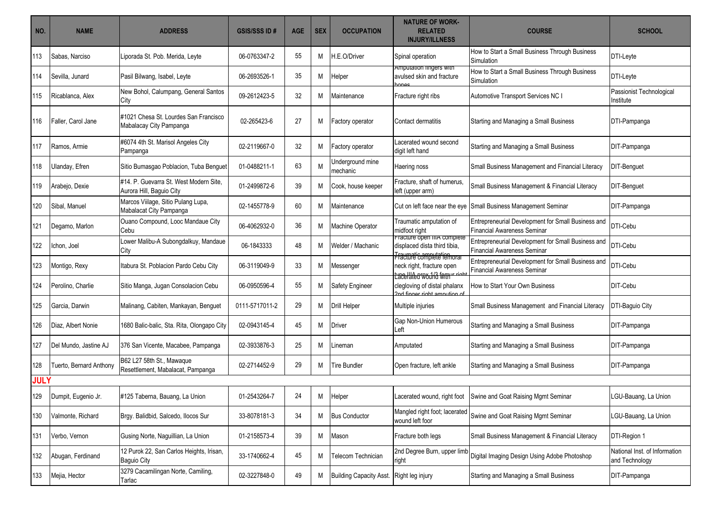| NO.         | <b>NAME</b>             | <b>ADDRESS</b>                                                     | <b>GSIS/SSS ID#</b> | <b>AGE</b> | <b>SEX</b> | <b>OCCUPATION</b>              | <b>NATURE OF WORK-</b><br><b>RELATED</b><br><b>INJURY/ILLNESS</b>                               | <b>COURSE</b>                                                                            | <b>SCHOOL</b>                                   |
|-------------|-------------------------|--------------------------------------------------------------------|---------------------|------------|------------|--------------------------------|-------------------------------------------------------------------------------------------------|------------------------------------------------------------------------------------------|-------------------------------------------------|
| 113         | Sabas, Narciso          | Liporada St. Pob. Merida, Leyte                                    | 06-0763347-2        | 55         | M          | H.E.O/Driver                   | Spinal operation                                                                                | How to Start a Small Business Through Business<br>Simulation                             | DTI-Leyte                                       |
| 114         | Sevilla, Junard         | Pasil Bilwang, Isabel, Leyte                                       | 06-2693526-1        | 35         | M          | Helper                         | Amputation fingers with<br>avulsed skin and fracture                                            | How to Start a Small Business Through Business<br>Simulation                             | DTI-Leyte                                       |
| 115         | Ricablanca, Alex        | New Bohol, Calumpang, General Santos<br>City                       | 09-2612423-5        | 32         | M          | Maintenance                    | Fracture right ribs                                                                             | Automotive Transport Services NC I                                                       | Passionist Technological<br>Institute           |
| 116         | Faller, Carol Jane      | #1021 Chesa St. Lourdes San Francisco<br>Mabalacay City Pampanga   | 02-265423-6         | 27         | M          | Factory operator               | Contact dermatitis                                                                              | Starting and Managing a Small Business                                                   | DTI-Pampanga                                    |
| 117         | Ramos, Armie            | #6074 4th St. Marisol Angeles City<br>Pampanga                     | 02-2119667-0        | 32         | M          | Factory operator               | Lacerated wound second<br>digit left hand                                                       | Starting and Managing a Small Business                                                   | DIT-Pampanga                                    |
| 118         | Ulanday, Efren          | Sitio Bumasgao Poblacion, Tuba Benguet                             | 01-0488211-1        | 63         | M          | Underground mine<br>mechanic   | Haering noss                                                                                    | Small Business Management and Financial Literacy                                         | <b>DIT-Benguet</b>                              |
| 119         | Arabejo, Dexie          | #14. P. Guevarra St. West Modern Site,<br>Aurora Hill, Baguio City | 01-2499872-6        | 39         | M          | Cook, house keeper             | Fracture, shaft of humerus,<br>left (upper arm)                                                 | Small Business Management & Financial Literacy                                           | <b>DIT-Benquet</b>                              |
| 120         | Sibal, Manuel           | Marcos Viilage, Sitio Pulang Lupa,<br>Mabalacat City Pampanga      | 02-1455778-9        | 60         | M          | Maintenance                    |                                                                                                 | Cut on left face near the eye Small Business Management Seminar                          | DIT-Pampanga                                    |
| 121         | Degamo, Marlon          | Ouano Compound, Looc Mandaue City<br>Cebu                          | 06-4062932-0        | 36         | M          | Machine Operator               | Traumatic amputation of<br>midfoot right                                                        | Entrepreneurial Development for Small Business and<br>Financial Awareness Seminar        | DTI-Cebu                                        |
| 122         | Ichon, Joel             | Lower Malibu-A Subongdalkuy, Mandaue<br>City                       | 06-1843333          | 48         | M          | Welder / Machanic              | Fracture ŏpen IIIA complete<br>displaced dista third tibia,                                     | Entrepreneurial Development for Small Business and<br>Financial Awareness Seminar        | DTI-Cebu                                        |
| 123         | Montigo, Rexy           | Itabura St. Poblacion Pardo Cebu City                              | 06-3119049-9        | 33         | M          | Messenger                      | Fraumaticamputatiemoral<br>neck right, fracture open<br>taceH <del>lea would form in righ</del> | Entrepreneurial Development for Small Business and<br><b>Financial Awareness Seminar</b> | DTI-Cebu                                        |
| 124         | Perolino, Charlie       | Sitio Manga, Jugan Consolacion Cebu                                | 06-0950596-4        | 55         | M          | <b>Safety Engineer</b>         | clegloving of distal phalanx<br>2nd finger right ampution of                                    | How to Start Your Own Business                                                           | DIT-Cebu                                        |
| 125         | Garcia, Darwin          | Malinang, Cabiten, Mankayan, Benguet                               | 0111-5717011-2      | 29         | M          | <b>Drill Helper</b>            | Multiple injuries                                                                               | Small Business Management and Financial Literacy                                         | DTI-Baguio City                                 |
| 126         | Diaz, Albert Nonie      | 1680 Balic-balic, Sta. Rita, Olongapo City                         | 02-0943145-4        | 45         | M          | Driver                         | Gap Non-Union Humerous<br>Left                                                                  | Starting and Managing a Small Business                                                   | DIT-Pampanga                                    |
| 127         | Del Mundo, Jastine AJ   | 376 San Vicente, Macabee, Pampanga                                 | 02-3933876-3        | 25         | M          | Lineman                        | Amputated                                                                                       | Starting and Managing a Small Business                                                   | DIT-Pampanga                                    |
| 128         | Tuerto, Bernard Anthony | B62 L27 58th St., Mawaque<br>Resettlement, Mabalacat, Pampanga     | 02-2714452-9        | 29         | M          | <b>Tire Bundler</b>            | Open fracture, left ankle                                                                       | Starting and Managing a Small Business                                                   | DIT-Pampanga                                    |
| <b>JULY</b> |                         |                                                                    |                     |            |            |                                |                                                                                                 |                                                                                          |                                                 |
| 129         | Dumpit, Eugenio Jr.     | #125 Taberna, Bauang, La Union                                     | 01-2543264-7        | 24         | M          | Helper                         |                                                                                                 | Lacerated wound, right foot Swine and Goat Raising Mgmt Seminar                          | LGU-Bauang, La Union                            |
| 130         | Valmonte, Richard       | Brgy. Balidbid, Salcedo, Ilocos Sur                                | 33-8078181-3        | 34         |            | M Bus Conductor                | Mangled right foot; lacerated<br>wound left foor                                                | Swine and Goat Raising Mgmt Seminar                                                      | LGU-Bauang, La Union                            |
| 131         | Verbo, Vernon           | Gusing Norte, Naguillian, La Union                                 | 01-2158573-4        | 39         | M          | Mason                          | Fracture both legs                                                                              | Small Business Management & Financial Literacy                                           | DTI-Region 1                                    |
| 132         | Abugan, Ferdinand       | 12 Purok 22, San Carlos Heights, Irisan,<br><b>Baguio City</b>     | 33-1740662-4        | 45         | M          | Telecom Technician             | 2nd Degree Burn, upper limb<br>right                                                            | Digital Imaging Design Using Adobe Photoshop                                             | National Inst. of Information<br>and Technology |
| 133         | Mejia, Hector           | 3279 Cacamilingan Norte, Camiling,<br>Tarlac                       | 02-3227848-0        | 49         | M          | <b>Building Capacity Asst.</b> | Right leg injury                                                                                | Starting and Managing a Small Business                                                   | DIT-Pampanga                                    |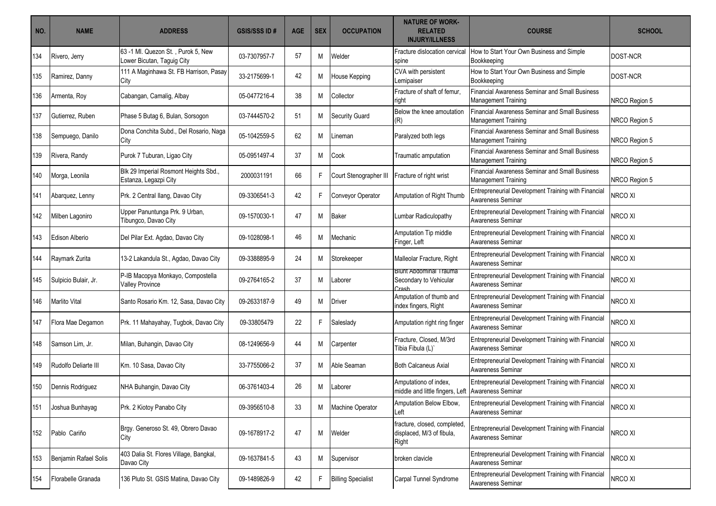| NO. | <b>NAME</b>           | <b>ADDRESS</b>                                                   | <b>GSIS/SSS ID#</b> | <b>AGE</b> | <b>SEX</b> | <b>OCCUPATION</b>         | <b>NATURE OF WORK-</b><br><b>RELATED</b><br><b>INJURY/ILLNESS</b>          | <b>COURSE</b>                                                                       | <b>SCHOOL</b>   |
|-----|-----------------------|------------------------------------------------------------------|---------------------|------------|------------|---------------------------|----------------------------------------------------------------------------|-------------------------------------------------------------------------------------|-----------------|
| 134 | Rivero, Jerry         | 63 -1 MI. Quezon St., Purok 5, New<br>Lower Bicutan, Taguig City | 03-7307957-7        | 57         | M          | Welder                    | Fracture dislocation cervical<br>spine                                     | How to Start Your Own Business and Simple<br>Bookkeeping                            | DOST-NCR        |
| 135 | Ramirez, Danny        | 111 A Maginhawa St. FB Harrison, Pasay<br>City                   | 33-2175699-1        | 42         | M          | House Kepping             | CVA with persistent<br>Lemipaiser                                          | How to Start Your Own Business and Simple<br>Bookkeeping                            | <b>DOST-NCR</b> |
| 136 | Armenta, Roy          | Cabangan, Camalig, Albay                                         | 05-0477216-4        | 38         | M          | Collector                 | Fracture of shaft of femur,<br>right                                       | Financial Awareness Seminar and Small Business<br><b>Management Training</b>        | NRCO Region 5   |
| 137 | Gutierrez, Ruben      | Phase 5 Butag 6, Bulan, Sorsogon                                 | 03-7444570-2        | 51         | M          | Security Guard            | Below the knee amoutation<br>(R)                                           | Financial Awareness Seminar and Small Business<br><b>Management Training</b>        | NRCO Region 5   |
| 138 | Sempuego, Danilo      | Dona Conchita Subd., Del Rosario, Naga<br>City                   | 05-1042559-5        | 62         | M          | Lineman                   | Paralyzed both legs                                                        | Financial Awareness Seminar and Small Business<br><b>Management Training</b>        | NRCO Region 5   |
| 139 | Rivera, Randy         | Purok 7 Tuburan, Ligao City                                      | 05-0951497-4        | 37         | M          | Cook                      | Traumatic amputation                                                       | Financial Awareness Seminar and Small Business<br><b>Management Training</b>        | NRCO Region 5   |
| 140 | Morga, Leonila        | Blk 29 Imperial Rosmont Heights Sbd.,<br>Estanza, Legazpi City   | 2000031191          | 66         | E          | Court Stenographer III    | Fracture of right wrist                                                    | <b>Financial Awareness Seminar and Small Business</b><br><b>Management Training</b> | NRCO Region 5   |
| 141 | Abarquez, Lenny       | Prk. 2 Central Ilang, Davao City                                 | 09-3306541-3        | 42         | F          | Conveyor Operator         | Amputation of Right Thumb                                                  | Entrepreneurial Development Training with Financial<br>Awareness Seminar            | NRCO XI         |
| 142 | Milben Lagoniro       | Upper Panuntunga Prk. 9 Urban,<br>Tibungco, Davao City           | 09-1570030-1        | 47         | M          | <b>Baker</b>              | Lumbar Radiculopathy                                                       | Entrepreneurial Development Training with Financial<br>Awareness Seminar            | NRCO XI         |
| 143 | Edison Alberio        | Del Pilar Ext. Agdao, Davao City                                 | 09-1028098-1        | 46         | M          | Mechanic                  | Amputation Tip middle<br>Finger, Left                                      | Entrepreneurial Development Training with Financial<br>Awareness Seminar            | NRCO XI         |
| 144 | Raymark Zurita        | 13-2 Lakandula St., Agdao, Davao City                            | 09-3388895-9        | 24         | M          | Storekeeper               | Malleolar Fracture, Right                                                  | Entrepreneurial Development Training with Financial<br>Awareness Seminar            | NRCO XI         |
| 145 | Sulpicio Bulair, Jr.  | P-IB Macopya Monkayo, Compostella<br><b>Valley Province</b>      | 09-2764165-2        | 37         | M          | Laborer                   | Blunt Abdominal Trauma<br>Secondary to Vehicular<br>Crash                  | Entrepreneurial Development Training with Financial<br>Awareness Seminar            | NRCO XI         |
| 146 | Marlito Vital         | Santo Rosario Km. 12, Sasa, Davao City                           | 09-2633187-9        | 49         | M          | <b>Driver</b>             | Amputation of thumb and<br>index fingers, Right                            | Entrepreneurial Development Training with Financial<br>Awareness Seminar            | NRCO XI         |
| 147 | Flora Mae Degamon     | Prk. 11 Mahayahay, Tugbok, Davao City                            | 09-33805479         | 22         | F          | Saleslady                 | Amputation right ring finger                                               | Entrepreneurial Development Training with Financial<br>Awareness Seminar            | NRCO XI         |
| 148 | Samson Lim, Jr.       | Milan, Buhangin, Davao City                                      | 08-1249656-9        | 44         | M          | Carpenter                 | Fracture, Closed, M/3rd<br>Tibia Fibula (L)'                               | Entrepreneurial Development Training with Financial<br>Awareness Seminar            | NRCO XI         |
| 149 | Rudolfo Deliarte III  | Km. 10 Sasa, Davao City                                          | 33-7755066-2        | 37         | M          | Able Seaman               | <b>Both Calcaneus Axial</b>                                                | Entrepreneurial Development Training with Financial<br>Awareness Seminar            | NRCO XI         |
| 150 | Dennis Rodriguez      | NHA Buhangin, Davao City                                         | 06-3761403-4        | 26         | M          | Laborer                   | Amputationo of index,<br>middle and little fingers, Left Awareness Seminar | Entrepreneurial Development Training with Financial                                 | NRCO XI         |
| 151 | Joshua Bunhayag       | Prk. 2 Kiotoy Panabo City                                        | 09-3956510-8        | 33         | M          | Machine Operator          | Amputation Below Elbow,<br>Left                                            | Entrepreneurial Development Training with Financial<br>Awareness Seminar            | NRCO XI         |
| 152 | Pablo Cariño          | Brgy. Generoso St. 49, Obrero Davao<br>City                      | 09-1678917-2        | 47         | M          | Welder                    | fracture, closed, completed,<br>displaced, M/3 of fibula,<br>Right         | Entrepreneurial Development Training with Financial<br>Awareness Seminar            | NRCO XI         |
| 153 | Benjamin Rafael Solis | 403 Dalia St. Flores Village, Bangkal,<br>Davao City             | 09-1637841-5        | 43         | M          | Supervisor                | broken clavicle                                                            | Entrepreneurial Development Training with Financial<br>Awareness Seminar            | NRCO XI         |
| 154 | Florabelle Granada    | 136 Pluto St. GSIS Matina, Davao City                            | 09-1489826-9        | 42         | F.         | <b>Billing Specialist</b> | Carpal Tunnel Syndrome                                                     | Entrepreneurial Development Training with Financial<br>Awareness Seminar            | NRCO XI         |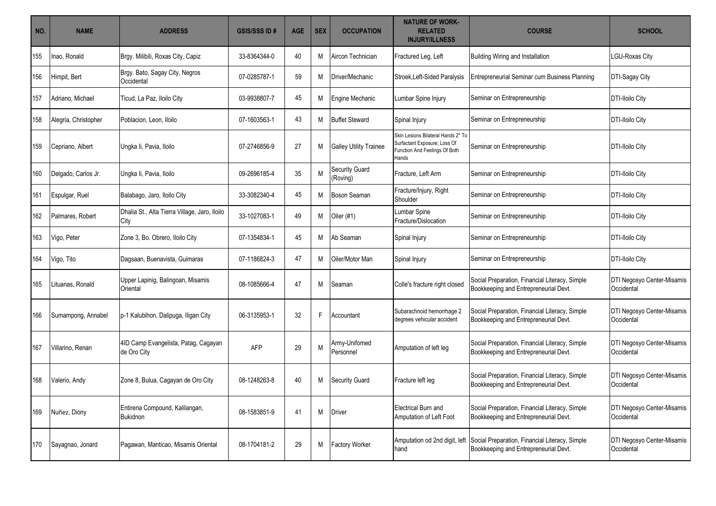| NO. | <b>NAME</b>          | <b>ADDRESS</b>                                        | <b>GSIS/SSS ID#</b> | <b>AGE</b> | <b>SEX</b> | <b>OCCUPATION</b>             | <b>NATURE OF WORK-</b><br><b>RELATED</b><br><b>INJURY/ILLNESS</b>                                            | <b>COURSE</b>                                                                                                         | <b>SCHOOL</b>                            |
|-----|----------------------|-------------------------------------------------------|---------------------|------------|------------|-------------------------------|--------------------------------------------------------------------------------------------------------------|-----------------------------------------------------------------------------------------------------------------------|------------------------------------------|
| 155 | Inao, Ronald         | Brgy. Milibili, Roxas City, Capiz                     | 33-8364344-0        | 40         | М          | Aircon Technician             | Fractured Leg, Left                                                                                          | Building Wiring and Installation                                                                                      | LGU-Roxas City                           |
| 156 | Himpit, Bert         | Brgy. Bato, Sagay City, Negros<br>Occidental          | 07-0285787-1        | 59         | M          | Driver/Mechanic               | Stroek, Left-Sided Paralysis                                                                                 | Entrepreneurial Seminar cum Business Planning                                                                         | DTI-Sagay City                           |
| 157 | Adriano, Michael     | Ticud, La Paz, Iloilo City                            | 03-9938807-7        | 45         | М          | Engine Mechanic               | Lumbar Spine Injury                                                                                          | Seminar on Entrepreneurship                                                                                           | <b>DTI-Iloilo City</b>                   |
| 158 | Alegria, Christopher | Poblacion, Leon, Iloilo                               | 07-1603563-1        | 43         | M          | <b>Buffet Steward</b>         | Spinal Injury                                                                                                | Seminar on Entrepreneurship                                                                                           | <b>DTI-Iloilo City</b>                   |
| 159 | Cepriano, Albert     | Ungka li, Pavia, Iloilo                               | 07-2746856-9        | 27         | M          | <b>Galley Utility Trainee</b> | Skin Lesions Bilateral Hands 2* To<br>Surfactant Exposure; Loss Of<br>Function And Feelings Of Both<br>Hands | Seminar on Entrepreneurship                                                                                           | <b>DTI-Iloilo City</b>                   |
| 160 | Delgado, Carlos Jr.  | Ungka li, Pavia, Iloilo                               | 09-2696185-4        | 35         | M          | Security Guard<br>(Roving)    | Fracture, Left Arm                                                                                           | Seminar on Entrepreneurship                                                                                           | <b>DTI-Iloilo City</b>                   |
| 161 | Espulgar, Ruel       | Balabago, Jaro, Iloilo City                           | 33-3082340-4        | 45         | M          | <b>Boson Seaman</b>           | Fracture/Injury, Right<br>Shoulder                                                                           | Seminar on Entrepreneurship                                                                                           | <b>DTI-Iloilo City</b>                   |
| 162 | Palmares, Robert     | Dhalia St., Alta Tierra Village, Jaro, Iloilo<br>City | 33-1027083-1        | 49         | M          | Oiler $(#1)$                  | Lumbar Spine<br>Fracture/Dislocation                                                                         | Seminar on Entrepreneurship                                                                                           | <b>DTI-Iloilo City</b>                   |
| 163 | Vigo, Peter          | Zone 3, Bo. Obrero, Iloilo City                       | 07-1354834-1        | 45         | M          | Ab Seaman                     | Spinal Injury                                                                                                | Seminar on Entrepreneurship                                                                                           | <b>DTI-Iloilo City</b>                   |
| 164 | Vigo, Tito           | Dagsaan, Buenavista, Guimaras                         | 07-1186824-3        | 47         | M          | Oiler/Motor Man               | Spinal Injury                                                                                                | Seminar on Entrepreneurship                                                                                           | <b>DTI-Iloilo City</b>                   |
| 165 | Lituanas. Ronald     | Upper Lapinig, Balingoan, Misamis<br>Oriental         | 08-1085666-4        | 47         | M          | Seaman                        | Colle's fracture right closed                                                                                | Social Preparation, Financial Literacy, Simple<br>Bookkeeping and Entrepreneurial Devt.                               | DTI Negosyo Center-Misamis<br>Occidental |
| 166 | Sumampong, Annabel   | p-1 Kalubihon, Dalipuga, Iligan City                  | 06-3135953-1        | 32         | F          | Accountant                    | Subarachnoid hemorrhage 2<br>degrees vehicular accident                                                      | Social Preparation, Financial Literacy, Simple<br>Bookkeeping and Entrepreneurial Devt.                               | DTI Negosyo Center-Misamis<br>Occidental |
| 167 | Villarino, Renan     | 4ID Camp Evangelista, Patag, Cagayan<br>de Oro City   | <b>AFP</b>          | 29         | M          | Army-Unifomed<br>Personnel    | Amputation of left leg                                                                                       | Social Preparation, Financial Literacy, Simple<br>Bookkeeping and Entrepreneurial Devt.                               | DTI Negosyo Center-Misamis<br>Occidental |
| 168 | Valerio, Andy        | Zone 8, Bulua, Cagayan de Oro City                    | 08-1248263-8        | 40         | M          | <b>Security Guard</b>         | Fracture left leg                                                                                            | Social Preparation, Financial Literacy, Simple<br>Bookkeeping and Entrepreneurial Devt.                               | DTI Negosyo Center-Misamis<br>Occidental |
| 169 | Nuñez, Diony         | Entirena Compound, Kalilangan,<br>Bukidnon            | 08-1583851-9        | 41         | M          | Driver                        | Electrical Burn and<br>Amputation of Left Foot                                                               | Social Preparation, Financial Literacy, Simple<br>Bookkeeping and Entrepreneurial Devt.                               | DTI Negosyo Center-Misamis<br>Occidental |
| 170 | Sayagnao, Jonard     | Pagawan, Manticao, Misamis Oriental                   | 08-1704181-2        | 29         | M          | <b>Factory Worker</b>         | hand                                                                                                         | Amputation od 2nd digit, left Social Preparation, Financial Literacy, Simple<br>Bookkeeping and Entrepreneurial Devt. | DTI Negosyo Center-Misamis<br>Occidental |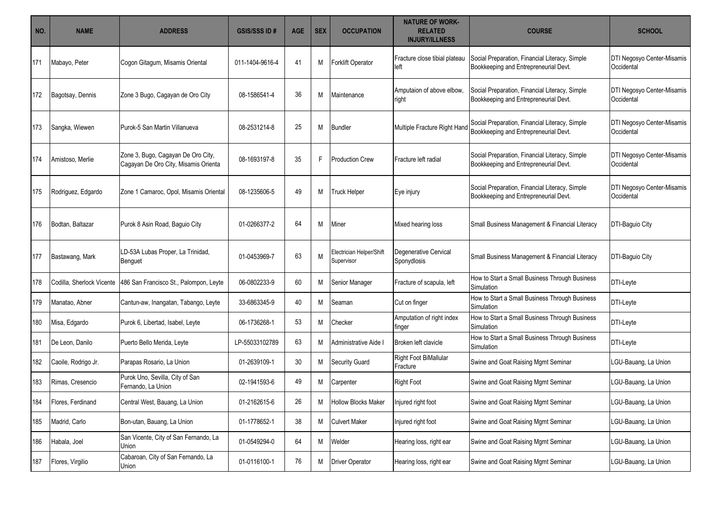| NO. | <b>NAME</b>               | <b>ADDRESS</b>                                                             | <b>GSIS/SSS ID#</b> | <b>AGE</b> | <b>SEX</b> | <b>OCCUPATION</b>                      | <b>NATURE OF WORK-</b><br><b>RELATED</b><br><b>INJURY/ILLNESS</b> | <b>COURSE</b>                                                                           | <b>SCHOOL</b>                            |
|-----|---------------------------|----------------------------------------------------------------------------|---------------------|------------|------------|----------------------------------------|-------------------------------------------------------------------|-----------------------------------------------------------------------------------------|------------------------------------------|
| 171 | Mabayo, Peter             | Cogon Gitagum, Misamis Oriental                                            | 011-1404-9616-4     | 41         | M          | Forklift Operator                      | Fracture close tibial plateau<br>left                             | Social Preparation, Financial Literacy, Simple<br>Bookkeeping and Entrepreneurial Devt. | DTI Negosyo Center-Misamis<br>Occidental |
| 172 | Bagotsay, Dennis          | Zone 3 Bugo, Cagayan de Oro City                                           | 08-1586541-4        | 36         | M          | Maintenance                            | Amputaion of above elbow,<br>right                                | Social Preparation, Financial Literacy, Simple<br>Bookkeeping and Entrepreneurial Devt. | DTI Negosyo Center-Misamis<br>Occidental |
| 173 | Sangka, Wiewen            | Purok-5 San Martin Villanueva                                              | 08-2531214-8        | 25         | M          | <b>Bundler</b>                         | Multiple Fracture Right Hand                                      | Social Preparation, Financial Literacy, Simple<br>Bookkeeping and Entrepreneurial Devt. | DTI Negosyo Center-Misamis<br>Occidental |
| 174 | Amistoso, Merlie          | Zone 3, Bugo, Cagayan De Oro City,<br>Cagayan De Oro City, Misamis Orienta | 08-1693197-8        | 35         | F          | <b>Production Crew</b>                 | Fracture left radial                                              | Social Preparation, Financial Literacy, Simple<br>Bookkeeping and Entrepreneurial Devt. | DTI Negosyo Center-Misamis<br>Occidental |
| 175 | Rodriguez, Edgardo        | Zone 1 Camaroc, Opol, Misamis Oriental                                     | 08-1235606-5        | 49         | M          | <b>Truck Helper</b>                    | Eye injury                                                        | Social Preparation, Financial Literacy, Simple<br>Bookkeeping and Entrepreneurial Devt. | DTI Negosyo Center-Misamis<br>Occidental |
| 176 | Bodtan, Baltazar          | Purok 8 Asin Road, Baguio City                                             | 01-0266377-2        | 64         | M          | Miner                                  | Mixed hearing loss                                                | Small Business Management & Financial Literacy                                          | DTI-Baguio City                          |
| 177 | Bastawang, Mark           | LD-53A Lubas Proper, La Trinidad,<br>Benguet                               | 01-0453969-7        | 63         | M          | Electrician Helper/Shift<br>Supervisor | Degenerative Cervical<br>Sponydlosis                              | Small Business Management & Financial Literacy                                          | DTI-Baguio City                          |
| 178 | Codilla, Sherlock Vicente | 486 San Francisco St., Palompon, Leyte                                     | 06-0802233-9        | 60         | M          | Senior Manager                         | Fracture of scapula, left                                         | How to Start a Small Business Through Business<br>Simulation                            | DTI-Leyte                                |
| 179 | Manatao, Abner            | Cantun-aw, Inangatan, Tabango, Leyte                                       | 33-6863345-9        | 40         | M          | Seaman                                 | Cut on finger                                                     | How to Start a Small Business Through Business<br>Simulation                            | DTI-Leyte                                |
| 180 | Misa, Edgardo             | Purok 6, Libertad, Isabel, Leyte                                           | 06-1736268-1        | 53         | M          | Checker                                | Amputation of right index<br>finger                               | How to Start a Small Business Through Business<br>Simulation                            | DTI-Leyte                                |
| 181 | De Leon, Danilo           | Puerto Bello Merida, Leyte                                                 | LP-55033102789      | 63         | M          | Administrative Aide I                  | Broken left clavicle                                              | How to Start a Small Business Through Business<br><b>Simulation</b>                     | DTI-Leyte                                |
| 182 | Caoile, Rodrigo Jr.       | Parapas Rosario, La Union                                                  | 01-2639109-1        | 30         | Μ          | <b>Security Guard</b>                  | Right Foot BiMallular<br>Fracture                                 | Swine and Goat Raising Mgmt Seminar                                                     | LGU-Bauang, La Union                     |
| 183 | Rimas, Cresencio          | Purok Uno, Sevilla, City of San<br>Fernando, La Union                      | 02-1941593-6        | 49         | Μ          | Carpenter                              | <b>Right Foot</b>                                                 | Swine and Goat Raising Mgmt Seminar                                                     | LGU-Bauang, La Union                     |
| 184 | Flores, Ferdinand         | Central West, Bauang, La Union                                             | 01-2162615-6        | 26         | M          | Hollow Blocks Maker                    | Injured right foot                                                | Swine and Goat Raising Mgmt Seminar                                                     | LGU-Bauang, La Union                     |
| 185 | Madrid, Carlo             | Bon-utan, Bauang, La Union                                                 | 01-1778652-1        | 38         | M          | <b>Culvert Maker</b>                   | Injured right foot                                                | Swine and Goat Raising Mgmt Seminar                                                     | LGU-Bauang, La Union                     |
| 186 | Habala, Joel              | San Vicente, City of San Fernando, La<br>Union                             | 01-0549294-0        | 64         | M          | Welder                                 | Hearing loss, right ear                                           | Swine and Goat Raising Mgmt Seminar                                                     | LGU-Bauang, La Union                     |
| 187 | Flores, Virgilio          | Cabaroan, City of San Fernando, La<br>Union                                | 01-0116100-1        | 76         | M          | <b>Driver Operator</b>                 | Hearing loss, right ear                                           | Swine and Goat Raising Mgmt Seminar                                                     | LGU-Bauang, La Union                     |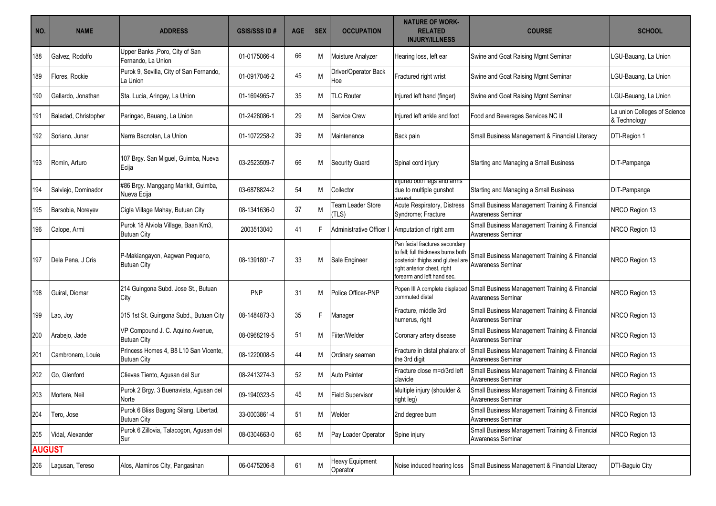|                      |                                                              | <b>GSIS/SSS ID#</b>                                                                                                                                                                                                    | <b>AGE</b> | <b>SEX</b> | <b>OCCUPATION</b>           | <b>RELATED</b><br><b>INJURY/ILLNESS</b>                                                                                                                                          | <b>COURSE</b>                                                                                                                                                                                                                                                                                                              | <b>SCHOOL</b>                                                                                                                                                                                                                                                                                                                                                                                                                                                                                                                                                                                                                                                                                                                                                                                                                                                                                                                                                                                                                                                                                |
|----------------------|--------------------------------------------------------------|------------------------------------------------------------------------------------------------------------------------------------------------------------------------------------------------------------------------|------------|------------|-----------------------------|----------------------------------------------------------------------------------------------------------------------------------------------------------------------------------|----------------------------------------------------------------------------------------------------------------------------------------------------------------------------------------------------------------------------------------------------------------------------------------------------------------------------|----------------------------------------------------------------------------------------------------------------------------------------------------------------------------------------------------------------------------------------------------------------------------------------------------------------------------------------------------------------------------------------------------------------------------------------------------------------------------------------------------------------------------------------------------------------------------------------------------------------------------------------------------------------------------------------------------------------------------------------------------------------------------------------------------------------------------------------------------------------------------------------------------------------------------------------------------------------------------------------------------------------------------------------------------------------------------------------------|
| Galvez, Rodolfo      | Upper Banks, Poro, City of San<br>Fernando, La Union         | 01-0175066-4                                                                                                                                                                                                           | 66         | Μ          |                             | Hearing loss, left ear                                                                                                                                                           |                                                                                                                                                                                                                                                                                                                            | LGU-Bauang, La Union                                                                                                                                                                                                                                                                                                                                                                                                                                                                                                                                                                                                                                                                                                                                                                                                                                                                                                                                                                                                                                                                         |
| Flores, Rockie       | Purok 9, Sevilla, City of San Fernando,<br>La Union          | 01-0917046-2                                                                                                                                                                                                           | 45         | M          | Driver/Operator Back<br>Hoe |                                                                                                                                                                                  |                                                                                                                                                                                                                                                                                                                            | LGU-Bauang, La Union                                                                                                                                                                                                                                                                                                                                                                                                                                                                                                                                                                                                                                                                                                                                                                                                                                                                                                                                                                                                                                                                         |
| Gallardo, Jonathan   |                                                              | 01-1694965-7                                                                                                                                                                                                           | 35         | M          |                             |                                                                                                                                                                                  |                                                                                                                                                                                                                                                                                                                            | LGU-Bauang, La Union                                                                                                                                                                                                                                                                                                                                                                                                                                                                                                                                                                                                                                                                                                                                                                                                                                                                                                                                                                                                                                                                         |
| Baladad, Christopher | Paringao, Bauang, La Union                                   | 01-2428086-1                                                                                                                                                                                                           | 29         | M          | Service Crew                |                                                                                                                                                                                  |                                                                                                                                                                                                                                                                                                                            | La union Colleges of Science<br>& Technology                                                                                                                                                                                                                                                                                                                                                                                                                                                                                                                                                                                                                                                                                                                                                                                                                                                                                                                                                                                                                                                 |
| Soriano, Junar       | Narra Bacnotan, La Union                                     | 01-1072258-2                                                                                                                                                                                                           | 39         | M          | Maintenance                 |                                                                                                                                                                                  |                                                                                                                                                                                                                                                                                                                            | DTI-Region 1                                                                                                                                                                                                                                                                                                                                                                                                                                                                                                                                                                                                                                                                                                                                                                                                                                                                                                                                                                                                                                                                                 |
| Romin, Arturo        | 107 Brgy. San Miguel, Guimba, Nueva<br>Ecija                 | 03-2523509-7                                                                                                                                                                                                           | 66         | M          |                             |                                                                                                                                                                                  |                                                                                                                                                                                                                                                                                                                            | DIT-Pampanga                                                                                                                                                                                                                                                                                                                                                                                                                                                                                                                                                                                                                                                                                                                                                                                                                                                                                                                                                                                                                                                                                 |
| Salviejo, Dominador  | #86 Brgy. Manggang Marikit, Guimba,                          | 03-6878824-2                                                                                                                                                                                                           | 54         | M          | Collector                   | injurea both legs and arms                                                                                                                                                       |                                                                                                                                                                                                                                                                                                                            | DIT-Pampanga                                                                                                                                                                                                                                                                                                                                                                                                                                                                                                                                                                                                                                                                                                                                                                                                                                                                                                                                                                                                                                                                                 |
| Barsobia, Noreyev    | Cigla Village Mahay, Butuan City                             | 08-1341636-0                                                                                                                                                                                                           | 37         | M          | Team Leader Store<br>(TLS)  | Acute Respiratory, Distress                                                                                                                                                      |                                                                                                                                                                                                                                                                                                                            | NRCO Region 13                                                                                                                                                                                                                                                                                                                                                                                                                                                                                                                                                                                                                                                                                                                                                                                                                                                                                                                                                                                                                                                                               |
| Calope, Armi         | Purok 18 Alviola Village, Baan Km3,<br><b>Butuan City</b>    | 2003513040                                                                                                                                                                                                             | 41         | F          | Administrative Officer      |                                                                                                                                                                                  |                                                                                                                                                                                                                                                                                                                            | NRCO Region 13                                                                                                                                                                                                                                                                                                                                                                                                                                                                                                                                                                                                                                                                                                                                                                                                                                                                                                                                                                                                                                                                               |
| Dela Pena, J Cris    | P-Makiangayon, Aagwan Pequeno,                               | 08-1391801-7                                                                                                                                                                                                           | 33         | M          |                             | Pan facial fractures secondary<br>to fall; full thickness burns both<br>forearm and left hand sec.                                                                               | Awareness Seminar                                                                                                                                                                                                                                                                                                          | NRCO Region 13                                                                                                                                                                                                                                                                                                                                                                                                                                                                                                                                                                                                                                                                                                                                                                                                                                                                                                                                                                                                                                                                               |
| Guiral, Diomar       | 214 Guingona Subd. Jose St., Butuan<br>City                  | <b>PNP</b>                                                                                                                                                                                                             | 31         | M          | Police Officer-PNP          | Popen III A complete displaced<br>commuted distal                                                                                                                                |                                                                                                                                                                                                                                                                                                                            | NRCO Region 13                                                                                                                                                                                                                                                                                                                                                                                                                                                                                                                                                                                                                                                                                                                                                                                                                                                                                                                                                                                                                                                                               |
| Lao, Joy             | 015 1st St. Guingona Subd., Butuan City                      | 08-1484873-3                                                                                                                                                                                                           | 35         | F          | Manager                     | Fracture, middle 3rd                                                                                                                                                             |                                                                                                                                                                                                                                                                                                                            | NRCO Region 13                                                                                                                                                                                                                                                                                                                                                                                                                                                                                                                                                                                                                                                                                                                                                                                                                                                                                                                                                                                                                                                                               |
| Arabejo, Jade        | VP Compound J. C. Aquino Avenue,                             | 08-0968219-5                                                                                                                                                                                                           | 51         | M          |                             | Coronary artery disease                                                                                                                                                          |                                                                                                                                                                                                                                                                                                                            | NRCO Region 13                                                                                                                                                                                                                                                                                                                                                                                                                                                                                                                                                                                                                                                                                                                                                                                                                                                                                                                                                                                                                                                                               |
| Cambronero, Louie    | <b>Butuan City</b>                                           | 08-1220008-5                                                                                                                                                                                                           | 44         | M          |                             | Fracture in distal phalanx of<br>the 3rd digit                                                                                                                                   | Awareness Seminar                                                                                                                                                                                                                                                                                                          | NRCO Region 13                                                                                                                                                                                                                                                                                                                                                                                                                                                                                                                                                                                                                                                                                                                                                                                                                                                                                                                                                                                                                                                                               |
| Go, Glenford         | Clievas Tiento, Agusan del Sur                               | 08-2413274-3                                                                                                                                                                                                           | 52         | M          | Auto Painter                | Fracture close m=d/3rd left<br>clavicle                                                                                                                                          |                                                                                                                                                                                                                                                                                                                            | NRCO Region 13                                                                                                                                                                                                                                                                                                                                                                                                                                                                                                                                                                                                                                                                                                                                                                                                                                                                                                                                                                                                                                                                               |
| Mortera, Neil        | Purok 2 Brgy. 3 Buenavista, Agusan del<br>Norte              | 09-1940323-5                                                                                                                                                                                                           | 45         | M          |                             | Multiple injury (shoulder &<br>right leg)                                                                                                                                        | Awareness Seminar                                                                                                                                                                                                                                                                                                          | NRCO Region 13                                                                                                                                                                                                                                                                                                                                                                                                                                                                                                                                                                                                                                                                                                                                                                                                                                                                                                                                                                                                                                                                               |
| Tero, Jose           | Purok 6 Bliss Bagong Silang, Libertad,<br><b>Butuan City</b> | 33-0003861-4                                                                                                                                                                                                           | 51         | М          |                             |                                                                                                                                                                                  |                                                                                                                                                                                                                                                                                                                            | NRCO Region 13                                                                                                                                                                                                                                                                                                                                                                                                                                                                                                                                                                                                                                                                                                                                                                                                                                                                                                                                                                                                                                                                               |
| Vidal, Alexander     |                                                              | 08-0304663-0                                                                                                                                                                                                           | 65         | M          |                             |                                                                                                                                                                                  |                                                                                                                                                                                                                                                                                                                            | NRCO Region 13                                                                                                                                                                                                                                                                                                                                                                                                                                                                                                                                                                                                                                                                                                                                                                                                                                                                                                                                                                                                                                                                               |
| <b>AUGUST</b>        |                                                              |                                                                                                                                                                                                                        |            |            |                             |                                                                                                                                                                                  |                                                                                                                                                                                                                                                                                                                            |                                                                                                                                                                                                                                                                                                                                                                                                                                                                                                                                                                                                                                                                                                                                                                                                                                                                                                                                                                                                                                                                                              |
| Lagusan, Tereso      |                                                              | 06-0475206-8                                                                                                                                                                                                           | 61         | M          | Heavy Equipment<br>Operator | Noise induced hearing loss                                                                                                                                                       |                                                                                                                                                                                                                                                                                                                            | DTI-Baguio City                                                                                                                                                                                                                                                                                                                                                                                                                                                                                                                                                                                                                                                                                                                                                                                                                                                                                                                                                                                                                                                                              |
|                      |                                                              | Sta. Lucia, Aringay, La Union<br>Nueva Ecija<br><b>Butuan City</b><br><b>Butuan City</b><br>Princess Homes 4, B8 L10 San Vicente,<br>Purok 6 Zillovia, Talacogon, Agusan del<br>Sur<br>Alos, Alaminos City, Pangasinan |            |            |                             | Moisture Analyzer<br><b>TLC Router</b><br><b>Security Guard</b><br>Sale Engineer<br>Fiiter/Welder<br>Ordinary seaman<br><b>Field Supervisor</b><br>Welder<br>Pay Loader Operator | Fractured right wrist<br>Injured left hand (finger)<br>Injured left ankle and foot<br>Back pain<br>Spinal cord injury<br>due to multiple gunshot<br>Syndrome: Fracture<br>Amputation of right arm<br>posterioir thighs and gluteal are<br>right anterior chest, right<br>humerus, right<br>2nd degree burn<br>Spine injury | Swine and Goat Raising Mgmt Seminar<br>Swine and Goat Raising Mgmt Seminar<br>Swine and Goat Raising Mgmt Seminar<br>Food and Beverages Services NC II<br>Small Business Management & Financial Literacy<br>Starting and Managing a Small Business<br>Starting and Managing a Small Business<br>Small Business Management Training & Financial<br>Awareness Seminar<br>Small Business Management Training & Financial<br>Awareness Seminar<br>Small Business Management Training & Financial<br>Small Business Management Training & Financial<br>Awareness Seminar<br>Small Business Management Training & Financial<br>Awareness Seminar<br>Small Business Management Training & Financial<br>Awareness Seminar<br>Small Business Management Training & Financial<br>Small Business Management Training & Financial<br>Awareness Seminar<br>Small Business Management Training & Financial<br>Small Business Management Training & Financial<br>Awareness Seminar<br>Small Business Management Training & Financial<br>Awareness Seminar<br>Small Business Management & Financial Literacy |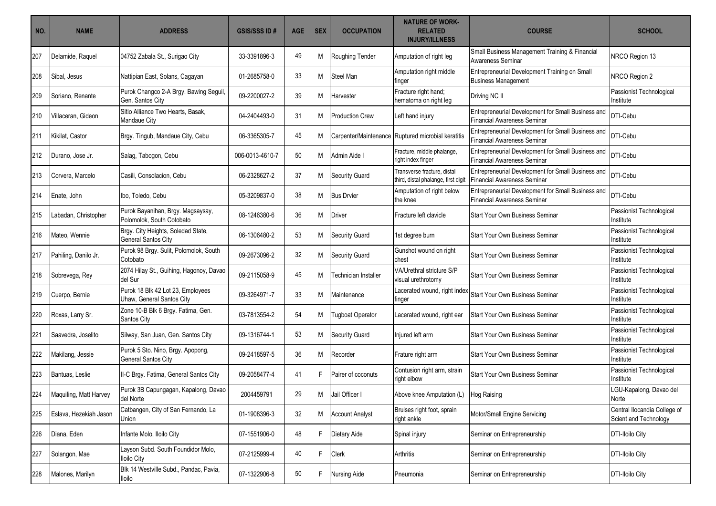| NO. | <b>NAME</b>            | <b>ADDRESS</b>                                                 | <b>GSIS/SSS ID#</b> | <b>AGE</b> | <b>SEX</b> | <b>OCCUPATION</b>      | <b>NATURE OF WORK-</b><br><b>RELATED</b><br><b>INJURY/ILLNESS</b>  | <b>COURSE</b>                                                                            | <b>SCHOOL</b>                                         |
|-----|------------------------|----------------------------------------------------------------|---------------------|------------|------------|------------------------|--------------------------------------------------------------------|------------------------------------------------------------------------------------------|-------------------------------------------------------|
| 207 | Delamide, Raquel       | 04752 Zabala St., Surigao City                                 | 33-3391896-3        | 49         | М          | Roughing Tender        | Amputation of right leg                                            | Small Business Management Training & Financial<br><b>Awareness Seminar</b>               | NRCO Region 13                                        |
| 208 | Sibal, Jesus           | Nattipian East, Solans, Cagayan                                | 01-2685758-0        | 33         | М          | Steel Man              | Amputation right middle<br>finger                                  | Entrepreneurial Development Training on Small<br><b>Business Management</b>              | NRCO Region 2                                         |
| 209 | Soriano, Renante       | Purok Changco 2-A Brgy. Bawing Seguil,<br>Gen. Santos City     | 09-2200027-2        | 39         | М          | Harvester              | Fracture right hand;<br>hematoma on right leg                      | Driving NC II                                                                            | Passionist Technological<br>Institute                 |
| 210 | Villaceran, Gideon     | Sitio Alliance Two Hearts, Basak.<br><b>Mandaue City</b>       | 04-2404493-0        | 31         | M          | <b>Production Crew</b> | Left hand injury                                                   | Entrepreneurial Development for Small Business and<br><b>Financial Awareness Seminar</b> | DTI-Cebu                                              |
| 211 | Kikilat, Castor        | Brgy. Tingub, Mandaue City, Cebu                               | 06-3365305-7        | 45         | M          |                        | Carpenter/Maintenance Ruptured microbial keratitis                 | Entrepreneurial Development for Small Business and<br><b>Financial Awareness Seminar</b> | DTI-Cebu                                              |
| 212 | Durano, Jose Jr.       | Salag, Tabogon, Cebu                                           | 006-0013-4610-7     | 50         | М          | Admin Aide I           | Fracture, middle phalange,<br>right index finger                   | Entrepreneurial Development for Small Business and<br><b>Financial Awareness Seminar</b> | DTI-Cebu                                              |
| 213 | Corvera, Marcelo       | Casili, Consolacion, Cebu                                      | 06-2328627-2        | 37         | М          | <b>Security Guard</b>  | Transverse fracture, distal<br>third, distal phalange, first digit | Entrepreneurial Development for Small Business and<br><b>Financial Awareness Seminar</b> | DTI-Cebu                                              |
| 214 | Enate, John            | Ibo, Toledo, Cebu                                              | 05-3209837-0        | 38         | М          | <b>Bus Drvier</b>      | Amputation of right below<br>the knee                              | Entrepreneurial Development for Small Business and<br><b>Financial Awareness Seminar</b> | DTI-Cebu                                              |
| 215 | Labadan, Christopher   | Purok Bayanihan, Brgy. Magsaysay,<br>Polomolok, South Cotobato | 08-1246380-6        | 36         | M          | <b>Driver</b>          | Fracture left clavicle                                             | <b>Start Your Own Business Seminar</b>                                                   | Passionist Technological<br>Institute                 |
| 216 | Mateo, Wennie          | Brgy. City Heights, Soledad State,<br>General Santos City      | 06-1306480-2        | 53         | M          | <b>Security Guard</b>  | 1st degree burn                                                    | <b>Start Your Own Business Seminar</b>                                                   | Passionist Technological<br>Institute                 |
| 217 | Pahiling, Danilo Jr.   | Purok 98 Brgy. Sulit, Polomolok, South<br>Cotobato             | 09-2673096-2        | 32         | М          | <b>Security Guard</b>  | Gunshot wound on right<br>chest                                    | Start Your Own Business Seminar                                                          | Passionist Technological<br>Institute                 |
| 218 | Sobrevega, Rey         | 2074 Hilay St., Guihing, Hagonoy, Davao<br>del Sur             | 09-2115058-9        | 45         | М          | Technician Installer   | VA/Urethral stricture S/P<br>visual urethrotomy                    | <b>Start Your Own Business Seminar</b>                                                   | Passionist Technological<br>Institute                 |
| 219 | Cuerpo, Bernie         | Purok 18 Blk 42 Lot 23, Employees<br>Uhaw, General Santos City | 09-3264971-7        | 33         | М          | Maintenance            | Lacerated wound, right index<br>finger                             | <b>Start Your Own Business Seminar</b>                                                   | Passionist Technological<br>Institute                 |
| 220 | Roxas, Larry Sr.       | Zone 10-B Blk 6 Brgy. Fatima, Gen.<br>Santos City              | 03-7813554-2        | 54         | M          | Tugboat Operator       | Lacerated wound, right ear                                         | Start Your Own Business Seminar                                                          | Passionist Technological<br>Institute                 |
| 221 | Saavedra, Joselito     | Silway, San Juan, Gen. Santos City                             | 09-1316744-1        | 53         | M          | <b>Security Guard</b>  | Injured left arm                                                   | <b>Start Your Own Business Seminar</b>                                                   | Passionist Technological<br>Institute                 |
| 222 | Makilang, Jessie       | Purok 5 Sto. Nino, Brgy. Apopong,<br>General Santos City       | 09-2418597-5        | 36         | M          | Recorder               | Frature right arm                                                  | <b>Start Your Own Business Seminar</b>                                                   | Passionist Technological<br>Institute                 |
| 223 | Bantuas, Leslie        | II-C Brgy. Fatima, General Santos City                         | 09-2058477-4        | 41         | F          | Pairer of coconuts     | Contusion right arm, strain<br>right elbow                         | Start Your Own Business Seminar                                                          | Passionist Technological<br>Institute                 |
| 224 | Maquiling, Matt Harvey | Purok 3B Capungagan, Kapalong, Davao<br>del Norte              | 2004459791          | 29         | Μ          | Jail Officer I         | Above knee Amputation (L)   Hog Raising                            |                                                                                          | LGU-Kapalong, Davao del<br>Norte                      |
| 225 | Eslava, Hezekiah Jason | Catbangen, City of San Fernando, La<br>Union                   | 01-1908396-3        | 32         | M          | <b>Account Analyst</b> | Bruises right foot, sprain<br>right ankle                          | Motor/Small Engine Servicing                                                             | Central Ilocandia College of<br>Scient and Technology |
| 226 | Diana, Eden            | Infante Molo, Iloilo City                                      | 07-1551906-0        | 48         | F          | Dietary Aide           | Spinal injury                                                      | Seminar on Entrepreneurship                                                              | <b>DTI-Iloilo City</b>                                |
| 227 | Solangon, Mae          | Layson Subd. South Foundidor Molo,<br><b>Iloilo City</b>       | 07-2125999-4        | 40         | F          | Clerk                  | Arthritis                                                          | Seminar on Entrepreneurship                                                              | <b>DTI-Iloilo City</b>                                |
| 228 | Malones, Marilyn       | Blk 14 Westville Subd., Pandac, Pavia,<br><b>Iloilo</b>        | 07-1322906-8        | 50         | F.         | Nursing Aide           | Pneumonia                                                          | Seminar on Entrepreneurship                                                              | <b>DTI-Iloilo City</b>                                |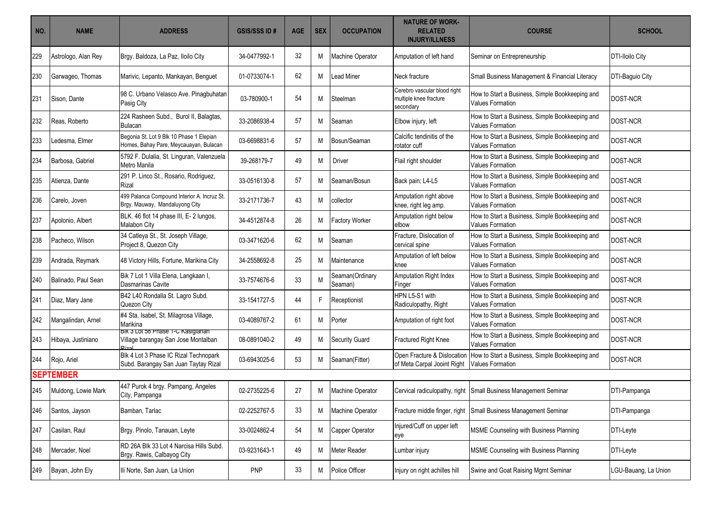| NO. | <b>NAME</b>         | <b>ADDRESS</b>                                                                     | <b>GSIS/SSS ID#</b> | <b>AGE</b> | <b>SEX</b> | <b>OCCUPATION</b>          | <b>NATURE OF WORK-</b><br><b>RELATED</b><br><b>INJURY/ILLNESS</b>   | <b>COURSE</b>                                                              | <b>SCHOOL</b>          |
|-----|---------------------|------------------------------------------------------------------------------------|---------------------|------------|------------|----------------------------|---------------------------------------------------------------------|----------------------------------------------------------------------------|------------------------|
| 229 | Astrologo, Alan Rey | Brgy. Baldoza, La Paz, Iloilo City                                                 | 34-0477992-1        | 32         | M          | <b>Machine Operator</b>    | Amputation of left hand                                             | Seminar on Entrepreneurship                                                | <b>DTI-Iloilo City</b> |
| 230 | Garwageo, Thomas    | Marivic, Lepanto, Mankayan, Benguet                                                | 01-0733074-1        | 62         | M          | <b>Lead Miner</b>          | Neck fracture                                                       | Small Business Management & Financial Literacy                             | DTI-Baguio City        |
| 231 | Sison, Dante        | 98 C. Urbano Velasco Ave. Pinagbuhatan<br>Pasig City                               | 03-780900-1         | 54         | M          | Steelman                   | Cerebro vascular blood right<br>multiple knee fracture<br>secondary | How to Start a Business, Simple Bookkeeping and<br><b>Values Formation</b> | DOST-NCR               |
| 232 | Reas, Roberto       | 224 Rasheen Subd., Burol II, Balagtas,<br><b>Bulacan</b>                           | 33-2086938-4        | 57         | M          | Seaman                     | Elbow injury, left                                                  | How to Start a Business, Simple Bookkeeping and<br><b>Values Formation</b> | <b>DOST-NCR</b>        |
| 233 | Ledesma, Elmer      | Begonia St. Lot 9 Blk 10 Phase 1 Elepian<br>Homes, Bahay Pare, Meycauayan, Bulacan | 03-6698831-6        | 57         | M          | Bosun/Seaman               | Calcific tendinitis of the<br>rotator cuff                          | How to Start a Business, Simple Bookkeeping and<br><b>Values Formation</b> | DOST-NCR               |
| 234 | Barbosa, Gabriel    | 5792 F. Dulalia, St. Linguran, Valenzuela<br>Metro Manila                          | 39-268179-7         | 49         | M          | Driver                     | Flail right shoulder                                                | How to Start a Business, Simple Bookkeeping and<br><b>Values Formation</b> | <b>DOST-NCR</b>        |
| 235 | Atienza, Dante      | 291 P. Linco St., Rosario, Rodriguez,<br>Rizal                                     | 33-0516130-8        | 57         | M          | Seaman/Bosun               | Back pain; L4-L5                                                    | How to Start a Business, Simple Bookkeeping and<br><b>Values Formation</b> | DOST-NCR               |
| 236 | Carelo, Joven       | 499 Palanca Compound Interior A. Incruz St.<br>Brgy. Mauway, Mandaluyong City      | 33-2171736-7        | 43         | M          | collector                  | Amputation right above<br>knee, right leg amp.                      | How to Start a Business, Simple Bookkeeping and<br><b>Values Formation</b> | <b>DOST-NCR</b>        |
| 237 | Apolonio, Albert    | BLK. 46 flot 14 phase III, E- 2 lungos,<br>Malabon City                            | 34-4512874-8        | 26         | М          | <b>Factory Worker</b>      | Amputation right below<br>elbow                                     | How to Start a Business, Simple Bookkeeping and<br><b>Values Formation</b> | DOST-NCR               |
| 238 | Pacheco, Wilson     | 34 Catleya St., St. Joseph Village,<br>Project 8, Quezon City                      | 03-3471620-6        | 62         | M          | Seaman                     | Fracture, Dislocation of<br>cervical spine                          | How to Start a Business, Simple Bookkeeping and<br><b>Values Formation</b> | DOST-NCR               |
| 239 | Andrada, Reymark    | 48 Victory Hills, Fortune, Marikina City                                           | 34-2558692-8        | 25         | M          | Maintenance                | Amputation of left below<br>knee                                    | How to Start a Business, Simple Bookkeeping and<br><b>Values Formation</b> | DOST-NCR               |
| 240 | Balinado, Paul Sean | Bik 7 Lot 1 Villa Elena, Langkaan I,<br>Dasmarinas Cavite                          | 33-7574676-6        | 33         | M          | Seaman(Ordinary<br>Seaman) | Amputation Right Index<br>Finger                                    | How to Start a Business, Simple Bookkeeping and<br><b>Values Formation</b> | DOST-NCR               |
| 241 | Diaz, Mary Jane     | B42 L40 Rondalla St. Lagro Subd.<br>Quezon City                                    | 33-1541727-5        | 44         | F.         | Receptionist               | HPN L5-S1 with<br>Radiculopathy, Right                              | How to Start a Business, Simple Bookkeeping and<br><b>Values Formation</b> | DOST-NCR               |
| 242 | Mangalindan, Arnel  | #4 Sta. Isabel, St. Milagrosa Village,<br>Marikina                                 | 03-4089767-2        | 61         | М          | Porter                     | Amputation of right foot                                            | How to Start a Business, Simple Bookkeeping and<br><b>Values Formation</b> | DOST-NCR               |
| 243 | Hibaya, Justiniano  | BIK 3 LOT 58 Phase 1-C Kasigianan<br>Village barangay San Jose Montalban           | 08-0891040-2        | 49         | Μ          | <b>Security Guard</b>      | Fractured Right Knee                                                | How to Start a Business, Simple Bookkeeping and<br><b>Values Formation</b> | DOST-NCR               |
| 244 | Rojo, Ariel         | Blk 4 Lot 3 Phase IC Rizal Technopark<br>Subd. Barangay San Juan Taytay Rizal      | 03-6943025-6        | 53         | Μ          | Seaman(Fitter)             | Open Fracture & Dislocation<br>of Meta Carpal Jooint Right          | How to Start a Business, Simple Bookkeeping and<br><b>Values Formation</b> | <b>DOST-NCR</b>        |
|     | <b>SEPTEMBER</b>    |                                                                                    |                     |            |            |                            |                                                                     |                                                                            |                        |
| 245 | Muldong, Lowie Mark | 447 Purok 4 brgy. Pampang, Angeles<br>City, Pampanga                               | 02-2735225-6        | 27         | М          | Machine Operator           |                                                                     | Cervical radiculopathy, right Small Business Management Seminar            | DTI-Pampanga           |
| 246 | Santos, Jayson      | Bamban, Tarlac                                                                     | 02-2252767-5        | 33         | M          | Machine Operator           | Fracture middle finger, right                                       | Small Business Management Seminar                                          | DTI-Pampanga           |
| 247 | Casilan, Raul       | Brgy. Pinolo, Tanauan, Leyte                                                       | 33-0024862-4        | 54         | M          | Capper Operator            | Injured/Cuff on upper left<br>eye                                   | MSME Counseling with Business Planning                                     | DTI-Leyte              |
| 248 | Mercader, Noel      | RD 26A Blk 33 Lot 4 Narcisa Hills Subd.<br>Brgy. Rawis, Calbayog City              | 03-9231643-1        | 49         | M          | Meter Reader               | Lumbar injury                                                       | MSME Counseling with Business Planning                                     | DTI-Leyte              |
| 249 | Bayan, John Ely     | Ili Norte, San Juan, La Union                                                      | <b>PNP</b>          | 33         | M          | Police Officer             | Injury on right achilles hill                                       | Swine and Goat Raising Mgmt Seminar                                        | LGU-Bauang, La Union   |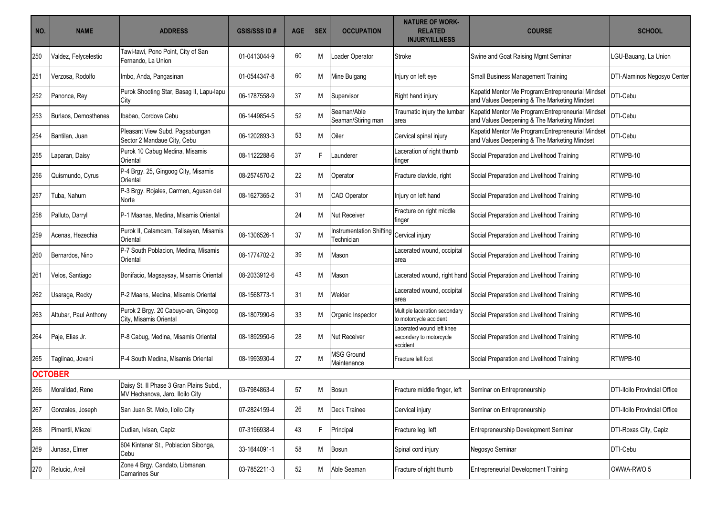| NO. | <b>NAME</b>           | <b>ADDRESS</b>                                                             | <b>GSIS/SSS ID#</b> | <b>AGE</b> | <b>SEX</b> | <b>OCCUPATION</b>                             | <b>NATURE OF WORK-</b><br><b>RELATED</b><br><b>INJURY/ILLNESS</b> | <b>COURSE</b>                                                                                      | <b>SCHOOL</b>                       |
|-----|-----------------------|----------------------------------------------------------------------------|---------------------|------------|------------|-----------------------------------------------|-------------------------------------------------------------------|----------------------------------------------------------------------------------------------------|-------------------------------------|
| 250 | Valdez, Felycelestio  | Tawi-tawi, Pono Point, City of San<br>Fernando, La Union                   | 01-0413044-9        | 60         | M          | oader Operator                                | Stroke                                                            | Swine and Goat Raising Mgmt Seminar                                                                | LGU-Bauang, La Union                |
| 251 | Verzosa, Rodolfo      | Imbo, Anda, Pangasinan                                                     | 01-0544347-8        | 60         | M          | Mine Bulgang                                  | Injury on left eye                                                | Small Business Management Training                                                                 | DTI-Alaminos Negosyo Center         |
| 252 | Panonce, Rey          | Purok Shooting Star, Basag II, Lapu-lapu<br>City                           | 06-1787558-9        | 37         | м          | Supervisor                                    | Right hand injury                                                 | Kapatid Mentor Me Program: Entrepreneurial Mindset<br>and Values Deepening & The Marketing Mindset | DTI-Cebu                            |
| 253 | Burlaos, Demosthenes  | Ibabao, Cordova Cebu                                                       | 06-1449854-5        | 52         | M          | Seaman/Able<br>Seaman/Stiring man             | Traumatic injury the lumbar<br>area                               | Kapatid Mentor Me Program: Entrepreneurial Mindset<br>and Values Deepening & The Marketing Mindset | DTI-Cebu                            |
| 254 | Bantilan, Juan        | Pleasant View Subd. Pagsabungan<br>Sector 2 Mandaue City, Cebu             | 06-1202893-3        | 53         | M          | Oiler                                         | Cervical spinal injury                                            | Kapatid Mentor Me Program: Entrepreneurial Mindset<br>and Values Deepening & The Marketing Mindset | DTI-Cebu                            |
| 255 | Laparan, Daisy        | Purok 10 Cabug Medina, Misamis<br>Oriental                                 | 08-1122288-6        | 37         | F          | .aunderer                                     | Laceration of right thumb<br>finger                               | Social Preparation and Livelihood Training                                                         | RTWPB-10                            |
| 256 | Quismundo, Cyrus      | P-4 Brgy. 25, Gingoog City, Misamis<br>Oriental                            | 08-2574570-2        | 22         | M          | Operator                                      | Fracture clavicle, right                                          | Social Preparation and Livelihood Training                                                         | RTWPB-10                            |
| 257 | Tuba, Nahum           | P-3 Brgy. Rojales, Carmen, Agusan del<br>Norte                             | 08-1627365-2        | 31         | M          | <b>CAD Operator</b>                           | Injury on left hand                                               | Social Preparation and Livelihood Training                                                         | RTWPB-10                            |
| 258 | Palluto, Darryl       | P-1 Maanas, Medina, Misamis Oriental                                       |                     | 24         | M          | <b>Nut Receiver</b>                           | Fracture on right middle<br>finger                                | Social Preparation and Livelihood Training                                                         | RTWPB-10                            |
| 259 | Acenas, Hezechia      | Purok II, Calamcam, Talisayan, Misamis<br>Oriental                         | 08-1306526-1        | 37         | M          | Instrumentation Shifting<br><b>Fechnician</b> | Cervical injury                                                   | Social Preparation and Livelihood Training                                                         | RTWPB-10                            |
| 260 | Bernardos, Nino       | P-7 South Poblacion, Medina, Misamis<br>Oriental                           | 08-1774702-2        | 39         | M          | Mason                                         | Lacerated wound, occipital<br>area                                | Social Preparation and Livelihood Training                                                         | RTWPB-10                            |
| 261 | Velos, Santiago       | Bonifacio, Magsaysay, Misamis Oriental                                     | 08-2033912-6        | 43         | M          | Mason                                         |                                                                   | Lacerated wound, right hand Social Preparation and Livelihood Training                             | RTWPB-10                            |
| 262 | Usaraga, Recky        | P-2 Maans, Medina, Misamis Oriental                                        | 08-1568773-1        | 31         | м          | Welder                                        | Lacerated wound, occipital<br>area                                | Social Preparation and Livelihood Training                                                         | RTWPB-10                            |
| 263 | Altubar, Paul Anthony | Purok 2 Brgy. 20 Cabuyo-an, Gingoog<br>City, Misamis Oriental              | 08-1807990-6        | 33         | M          | Organic Inspector                             | Multiple laceration secondary<br>to motorcycle accident           | Social Preparation and Livelihood Training                                                         | RTWPB-10                            |
| 264 | Paje, Elias Jr.       | P-8 Cabug, Medina, Misamis Oriental                                        | 08-1892950-6        | 28         | м          | <b>Nut Receiver</b>                           | Lacerated wound left knee<br>secondary to motorcycle<br>accident  | Social Preparation and Livelihood Training                                                         | RTWPB-10                            |
| 265 | Taglinao, Jovani      | P-4 South Medina, Misamis Oriental                                         | 08-1993930-4        | 27         | M          | <b>MSG Ground</b><br>Maintenance              | Fracture left foot                                                | Social Preparation and Livelihood Training                                                         | RTWPB-10                            |
|     | <b>OCTOBER</b>        |                                                                            |                     |            |            |                                               |                                                                   |                                                                                                    |                                     |
| 266 | Moralidad, Rene       | Daisy St. II Phase 3 Gran Plains Subd.,<br>MV Hechanova, Jaro, Iloilo City | 03-7984863-4        | 57         | М          | Bosun                                         | Fracture middle finger, left                                      | Seminar on Entrepreneurship                                                                        | <b>DTI-Iloilo Provincial Office</b> |
| 267 | Gonzales, Joseph      | San Juan St. Molo, Iloilo City                                             | 07-2824159-4        | 26         | M          | <b>Deck Trainee</b>                           | Cervical injury                                                   | Seminar on Entrepreneurship                                                                        | <b>DTI-Iloilo Provincial Office</b> |
| 268 | Pimentil, Miezel      | Cudian, Ivisan, Capiz                                                      | 07-3196938-4        | 43         | F          | Principal                                     | Fracture leg, left                                                | Entrepreneurship Development Seminar                                                               | DTI-Roxas City, Capiz               |
| 269 | Junasa, Elmer         | 604 Kintanar St., Poblacion Sibonga,<br>Cebu                               | 33-1644091-1        | 58         | M          | Bosun                                         | Spinal cord injury                                                | Negosyo Seminar                                                                                    | DTI-Cebu                            |
| 270 | Relucio, Areil        | Zone 4 Brgy. Candato, Libmanan,<br><b>Camarines Sur</b>                    | 03-7852211-3        | 52         | м          | Able Seaman                                   | Fracture of right thumb                                           | <b>Entrepreneurial Development Training</b>                                                        | OWWA-RWO 5                          |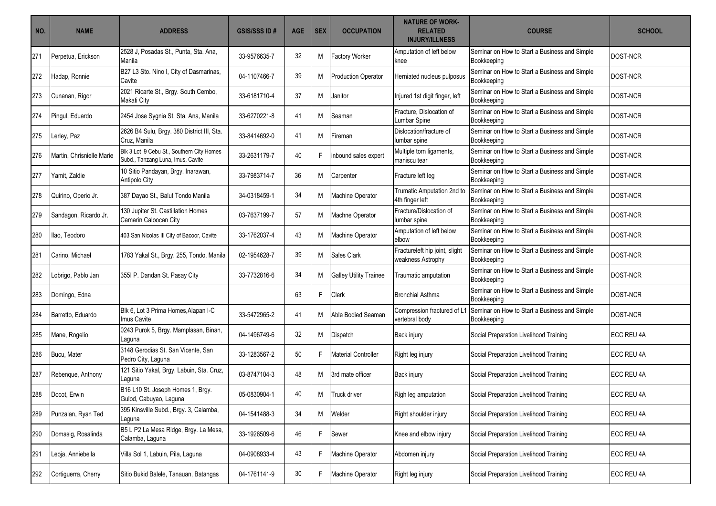| NO. | <b>NAME</b>               | <b>ADDRESS</b>                                                                 | <b>GSIS/SSS ID#</b> | <b>AGE</b> | <b>SEX</b> | <b>OCCUPATION</b>             | <b>NATURE OF WORK-</b><br><b>RELATED</b><br><b>INJURY/ILLNESS</b> | <b>COURSE</b>                                                | <b>SCHOOL</b>     |
|-----|---------------------------|--------------------------------------------------------------------------------|---------------------|------------|------------|-------------------------------|-------------------------------------------------------------------|--------------------------------------------------------------|-------------------|
| 271 | Perpetua, Erickson        | 2528 J, Posadas St., Punta, Sta. Ana,<br>Manila                                | 33-9576635-7        | 32         | м          | <b>Factory Worker</b>         | Amputation of left below<br>knee                                  | Seminar on How to Start a Business and Simple<br>Bookkeeping | DOST-NCR          |
| 272 | Hadap, Ronnie             | B27 L3 Sto. Nino I, City of Dasmarinas,<br>Cavite                              | 04-1107466-7        | 39         | м          | <b>Production Operator</b>    | Herniated nucleus pulposus                                        | Seminar on How to Start a Business and Simple<br>Bookkeeping | DOST-NCR          |
| 273 | Cunanan, Rigor            | 2021 Ricarte St., Brgy. South Cembo,<br>Makati City                            | 33-6181710-4        | 37         | М          | Janitor                       | Injured 1st digit finger, left                                    | Seminar on How to Start a Business and Simple<br>Bookkeeping | DOST-NCR          |
| 274 | Pingul, Eduardo           | 2454 Jose Sygnia St. Sta. Ana, Manila                                          | 33-6270221-8        | 41         | М          | Seaman                        | Fracture. Dislocation of<br><b>Lumbar Spine</b>                   | Seminar on How to Start a Business and Simple<br>Bookkeeping | <b>DOST-NCR</b>   |
| 275 | Lerley, Paz               | 2626 B4 Sulu, Brgy. 380 District III, Sta.<br>Cruz. Manila                     | 33-8414692-0        | 41         | М          | <b>Fireman</b>                | Dislocation/fracture of<br>lumbar spine                           | Seminar on How to Start a Business and Simple<br>Bookkeeping | DOST-NCR          |
| 276 | Martin, Chrisnielle Marie | Blk 3 Lot 9 Cebu St., Southern City Homes<br>Subd., Tanzang Luna, Imus, Cavite | 33-2631179-7        | 40         | F          | inbound sales expert          | Multiple torn ligaments,<br>maniscu tear                          | Seminar on How to Start a Business and Simple<br>Bookkeeping | DOST-NCR          |
| 277 | Yamit, Zaldie             | 10 Sitio Pandayan, Brgy. Inarawan,<br>Antipolo City                            | 33-7983714-7        | 36         | Μ          | Carpenter                     | Fracture left leg                                                 | Seminar on How to Start a Business and Simple<br>Bookkeeping | DOST-NCR          |
| 278 | Quirino, Operio Jr.       | 387 Dayao St., Balut Tondo Manila                                              | 34-0318459-1        | 34         | M          | Machine Operator              | Trumatic Amputation 2nd to<br>4th finger left                     | Seminar on How to Start a Business and Simple<br>Bookkeeping | DOST-NCR          |
| 279 | Sandagon, Ricardo Jr.     | 130 Jupiter St. Castillation Homes<br>Camarin Caloocan City                    | 03-7637199-7        | 57         | M          | Machne Operator               | Fracture/Dislocation of<br>lumbar spine                           | Seminar on How to Start a Business and Simple<br>Bookkeeping | DOST-NCR          |
| 280 | llao. Teodoro             | 403 San Nicolas III City of Bacoor, Cavite                                     | 33-1762037-4        | 43         | M          | Machine Operator              | Amputation of left below<br>elbow                                 | Seminar on How to Start a Business and Simple<br>Bookkeeping | DOST-NCR          |
| 281 | Carino, Michael           | 1783 Yakal St., Brgy. 255, Tondo, Manila                                       | 02-1954628-7        | 39         | М          | Sales Clark                   | Fractureleft hip joint, slight<br>weakness Astrophy               | Seminar on How to Start a Business and Simple<br>Bookkeeping | DOST-NCR          |
| 282 | Lobrigo, Pablo Jan        | 355I P. Dandan St. Pasay City                                                  | 33-7732816-6        | 34         | м          | <b>Galley Utility Trainee</b> | Traumatic amputation                                              | Seminar on How to Start a Business and Simple<br>Bookkeeping | DOST-NCR          |
| 283 | Domingo, Edna             |                                                                                |                     | 63         | F          | <b>Clerk</b>                  | <b>Bronchial Asthma</b>                                           | Seminar on How to Start a Business and Simple<br>Bookkeeping | DOST-NCR          |
| 284 | Barretto, Eduardo         | Blk 6, Lot 3 Prima Homes, Alapan I-C<br>Imus Cavite                            | 33-5472965-2        | 41         | M          | Able Bodied Seaman            | Compression fractured of L1<br>vertebral body                     | Seminar on How to Start a Business and Simple<br>Bookkeeping | DOST-NCR          |
| 285 | Mane, Rogelio             | 0243 Purok 5, Brgy. Mamplasan, Binan,<br>Laguna                                | 04-1496749-6        | 32         | М          | Dispatch                      | Back injury                                                       | Social Preparation Livelihood Training                       | <b>ECC REU 4A</b> |
| 286 | Bucu, Mater               | 3148 Gerodias St. San Vicente, San<br>Pedro City, Laguna                       | 33-1283567-2        | 50         | F          | <b>Material Controller</b>    | Right leg injury                                                  | Social Preparation Livelihood Training                       | <b>ECC REU 4A</b> |
| 287 | Rebenque, Anthony         | 121 Sitio Yakal, Brgy. Labuin, Sta. Cruz,<br>Laguna                            | 03-8747104-3        | 48         | M          | 3rd mate officer              | Back injury                                                       | Social Preparation Livelihood Training                       | <b>ECC REU 4A</b> |
| 288 | Docot, Erwin              | B16 L10 St. Joseph Homes 1, Brgy.<br>Gulod, Cabuyao, Laguna                    | 05-0830904-1        | 40         |            | M Truck driver                | Righ leg amputation                                               | Social Preparation Livelihood Training                       | <b>ECC REU 4A</b> |
| 289 | Punzalan, Ryan Ted        | 395 Kinsville Subd., Brgy. 3, Calamba,<br>Laguna                               | 04-1541488-3        | 34         | M          | Welder                        | Right shoulder injury                                             | Social Preparation Livelihood Training                       | <b>ECC REU 4A</b> |
| 290 | Domasig, Rosalinda        | B5 L P2 La Mesa Ridge, Brgy. La Mesa,<br>Calamba, Laguna                       | 33-1926509-6        | 46         | F.         | Sewer                         | Knee and elbow injury                                             | Social Preparation Livelihood Training                       | ECC REU 4A        |
| 291 | Leoja, Anniebella         | Villa Sol 1, Labuin, Pila, Laguna                                              | 04-0908933-4        | 43         | F.         | Machine Operator              | Abdomen injury                                                    | Social Preparation Livelihood Training                       | <b>ECC REU 4A</b> |
| 292 | Cortiguerra, Cherry       | Sitio Bukid Balele, Tanauan, Batangas                                          | 04-1761141-9        | 30         | F.         | Machine Operator              | Right leg injury                                                  | Social Preparation Livelihood Training                       | <b>ECC REU 4A</b> |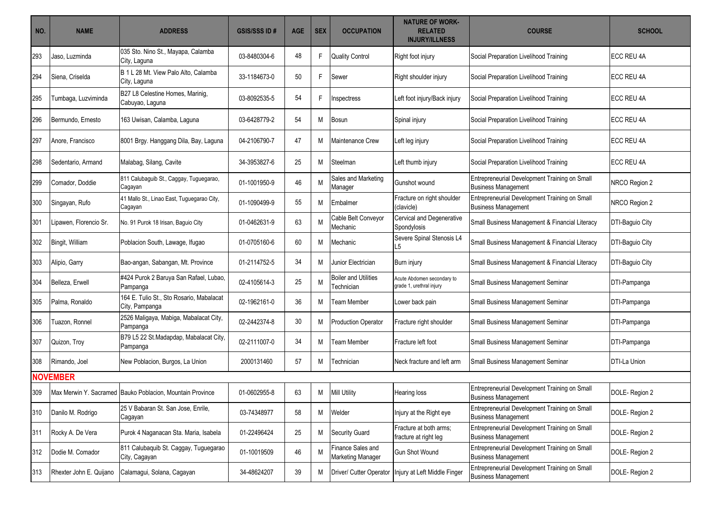| NO. | <b>NAME</b>             | <b>ADDRESS</b>                                             | <b>GSIS/SSS ID#</b> | <b>AGE</b> | <b>SEX</b> | <b>OCCUPATION</b>                         | <b>NATURE OF WORK-</b><br><b>RELATED</b><br><b>INJURY/ILLNESS</b> | <b>COURSE</b>                                                               | <b>SCHOOL</b>       |
|-----|-------------------------|------------------------------------------------------------|---------------------|------------|------------|-------------------------------------------|-------------------------------------------------------------------|-----------------------------------------------------------------------------|---------------------|
| 293 | Jaso, Luzminda          | 035 Sto. Nino St., Mayapa, Calamba<br>City, Laguna         | 03-8480304-6        | 48         | F          | <b>Quality Control</b>                    | Right foot injury                                                 | Social Preparation Livelihood Training                                      | <b>ECC REU 4A</b>   |
| 294 | Siena, Criselda         | B 1 L 28 Mt. View Palo Alto, Calamba<br>City, Laguna       | 33-1184673-0        | 50         | F.         | Sewer                                     | Right shoulder injury                                             | Social Preparation Livelihood Training                                      | <b>ECC REU 4A</b>   |
| 295 | Tumbaga, Luzviminda     | B27 L8 Celestine Homes, Marinig,<br>Cabuyao, Laguna        | 03-8092535-5        | 54         | F          | Inspectress                               | Left foot injury/Back injury                                      | Social Preparation Livelihood Training                                      | <b>ECC REU 4A</b>   |
| 296 | Bermundo. Ernesto       | 163 Uwisan, Calamba, Laguna                                | 03-6428779-2        | 54         | M          | <b>Bosun</b>                              | Spinal injury                                                     | Social Preparation Livelihood Training                                      | <b>ECC REU 4A</b>   |
| 297 | Anore, Francisco        | 8001 Brgy. Hanggang Dila, Bay, Laguna                      | 04-2106790-7        | 47         | M          | Maintenance Crew                          | Left leg injury                                                   | Social Preparation Livelihood Training                                      | <b>IECC REU 4A</b>  |
| 298 | Sedentario, Armand      | Malabag, Silang, Cavite                                    | 34-3953827-6        | 25         | M          | Steelman                                  | Left thumb injury                                                 | Social Preparation Livelihood Training                                      | <b>IECC REU 4A</b>  |
| 299 | Comador, Doddie         | 811 Calubaguib St., Caggay, Tuguegarao,<br>Cagayan         | 01-1001950-9        | 46         | M          | Sales and Marketing<br>Manager            | Gunshot wound                                                     | Entrepreneurial Development Training on Small<br><b>Business Management</b> | NRCO Region 2       |
| 300 | Singayan, Rufo          | 41 Mallo St., Linao East, Tuguegarao City,<br>Cagayan      | 01-1090499-9        | 55         | M          | Embalmer                                  | Fracture on right shoulder<br>(clavicle)                          | Entrepreneurial Development Training on Small<br><b>Business Management</b> | NRCO Region 2       |
| 301 | Lipawen. Florencio Sr.  | No. 91 Purok 18 Irisan, Baguio City                        | 01-0462631-9        | 63         | M          | Cable Belt Conveyor<br>Mechanic           | Cervical and Degenerative<br>Spondylosis                          | Small Business Management & Financial Literacy                              | DTI-Baguio City     |
| 302 | Bingit, William         | Poblacion South, Lawage, Ifugao                            | 01-0705160-6        | 60         | M          | Mechanic                                  | Severe Spinal Stenosis L4<br>L5                                   | Small Business Management & Financial Literacy                              | DTI-Baguio City     |
| 303 | Alipio, Garry           | Bao-angan, Sabangan, Mt. Province                          | 01-2114752-5        | 34         | M          | Junior Electrician                        | Burn injury                                                       | Small Business Management & Financial Literacy                              | DTI-Baguio City     |
| 304 | Belleza, Erwell         | #424 Purok 2 Baruya San Rafael, Lubao,<br>Pampanga         | 02-4105614-3        | 25         | M          | <b>Boiler and Utilities</b><br>Technician | Acute Abdomen secondary to<br>grade 1, urethral injury            | Small Business Management Seminar                                           | DTI-Pampanga        |
| 305 | Palma, Ronaldo          | 164 E. Tulio St., Sto Rosario, Mabalacat<br>City, Pampanga | 02-1962161-0        | 36         | M          | Team Member                               | Lower back pain                                                   | Small Business Management Seminar                                           | DTI-Pampanga        |
| 306 | Tuazon, Ronnel          | 2526 Maligaya, Mabiga, Mabalacat City,<br>Pampanga         | 02-2442374-8        | 30         | M          | <b>Production Operator</b>                | Fracture right shoulder                                           | Small Business Management Seminar                                           | DTI-Pampanga        |
| 307 | Quizon, Troy            | B79 L5 22 St.Madapdap, Mabalacat City,<br>Pampanga         | 02-2111007-0        | 34         | M          | Team Member                               | Fracture left foot                                                | Small Business Management Seminar                                           | DTI-Pampanga        |
| 308 | Rimando, Joel           | New Poblacion, Burgos, La Union                            | 2000131460          | 57         | M          | Technician                                | Neck fracture and left arm                                        | Small Business Management Seminar                                           | <b>DTI-La Union</b> |
|     | <b>NOVEMBER</b>         |                                                            |                     |            |            |                                           |                                                                   |                                                                             |                     |
| 309 |                         | Max Merwin Y. Sacramed Bauko Poblacion. Mountain Province  | 01-0602955-8        | 63         | М          | <b>Mill Utility</b>                       | Hearing loss                                                      | Entrepreneurial Development Training on Small<br><b>Business Management</b> | DOLE-Region 2       |
| 310 | Danilo M. Rodrigo       | 25 V Babaran St. San Jose, Enrile,<br>Cagayan              | 03-74348977         | 58         | M          | Welder                                    | Injury at the Right eye                                           | Entrepreneurial Development Training on Small<br><b>Business Management</b> | DOLE-Region 2       |
| 311 | Rocky A. De Vera        | Purok 4 Naganacan Sta. Maria, Isabela                      | 01-22496424         | 25         | M          | <b>Security Guard</b>                     | Fracture at both arms;<br>fracture at right leg                   | Entrepreneurial Development Training on Small<br><b>Business Management</b> | DOLE-Region 2       |
| 312 | Dodie M. Comador        | 811 Calubaquib St. Caggay, Tuguegarao<br>City, Cagayan     | 01-10019509         | 46         | M          | Finance Sales and<br>Marketing Manager    | <b>Gun Shot Wound</b>                                             | Entrepreneurial Development Training on Small<br><b>Business Management</b> | DOLE-Region 2       |
| 313 | Rhexter John E. Quijano | Calamagui, Solana, Cagayan                                 | 34-48624207         | 39         | M          | Driver/ Cutter Operator                   | Injury at Left Middle Finger                                      | Entrepreneurial Development Training on Small<br><b>Business Management</b> | DOLE-Region 2       |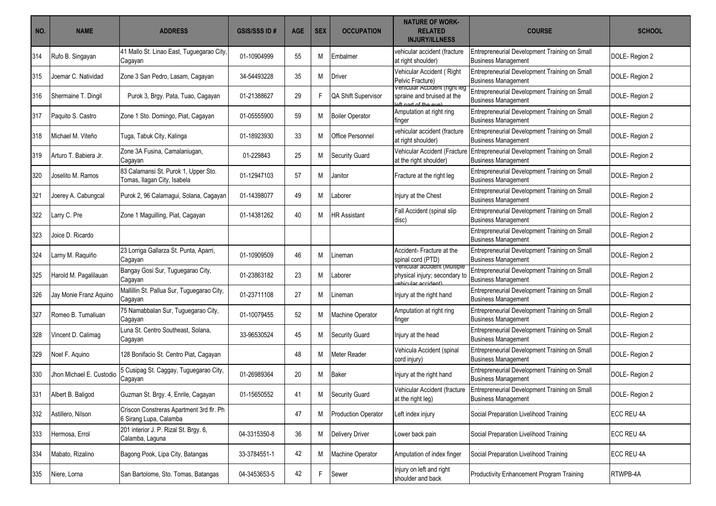| NO. | <b>NAME</b>              | <b>ADDRESS</b>                                                      | <b>GSIS/SSS ID#</b> | <b>AGE</b> | <b>SEX</b> | <b>OCCUPATION</b>          | <b>NATURE OF WORK-</b><br><b>RELATED</b><br><b>INJURY/ILLNESS</b>                   | <b>COURSE</b>                                                               | <b>SCHOOL</b> |
|-----|--------------------------|---------------------------------------------------------------------|---------------------|------------|------------|----------------------------|-------------------------------------------------------------------------------------|-----------------------------------------------------------------------------|---------------|
| 314 | Rufo B. Singayan         | 41 Mallo St. Linao East, Tuguegarao City,<br>Cagayan                | 01-10904999         | 55         | M          | Embalmer                   | vehicular accident (fracture<br>at right shoulder)                                  | Entrepreneurial Development Training on Small<br><b>Business Management</b> | DOLE-Region 2 |
| 315 | Joemar C. Natividad      | Zone 3 San Pedro, Lasam, Cagayan                                    | 34-54493228         | 35         | M          | Driver                     | Vehicular Accident (Right<br>Pelvic Fracture)                                       | Entrepreneurial Development Training on Small<br><b>Business Management</b> | DOLE-Region 2 |
| 316 | Shermaine T. Dingil      | Purok 3, Brgy. Pata, Tuao, Cagayan                                  | 01-21388627         | 29         | F          | QA Shift Supervisor        | venicular Accident (right leg<br>spraine and bruised at the<br>aft nart of the oun  | Entrepreneurial Development Training on Small<br><b>Business Management</b> | DOLE-Region 2 |
| 317 | Paquito S. Castro        | Zone 1 Sto. Domingo, Piat, Cagayan                                  | 01-05555900         | 59         | M          | <b>Boiler Operator</b>     | Amputation at right ring<br>finger                                                  | Entrepreneurial Development Training on Small<br><b>Business Management</b> | DOLE-Region 2 |
| 318 | Michael M. Viteño        | Tuga, Tabuk City, Kalinga                                           | 01-18923930         | 33         | M          | Office Personnel           | vehicular accident (fracture<br>at right shoulder)                                  | Entrepreneurial Development Training on Small<br><b>Business Management</b> | DOLE-Region 2 |
| 319 | Arturo T. Babiera Jr.    | Zone 3A Fusina, Camalaniugan,<br>Cagayan                            | 01-229843           | 25         | M          | <b>Security Guard</b>      | Vehicular Accident (Fracture<br>at the right shoulder)                              | Entrepreneurial Development Training on Small<br><b>Business Management</b> | DOLE-Region 2 |
| 320 | Joselito M. Ramos        | 83 Calamansi St. Purok 1, Upper Sto.<br>Tomas, Ilagan City, Isabela | 01-12947103         | 57         | M          | Janitor                    | Fracture at the right leg                                                           | Entrepreneurial Development Training on Small<br><b>Business Management</b> | DOLE-Region 2 |
| 321 | Joerey A. Cabungcal      | Purok 2, 96 Calamagui, Solana, Cagayan                              | 01-14398077         | 49         | M          | _aborer                    | Injury at the Chest                                                                 | Entrepreneurial Development Training on Small<br><b>Business Management</b> | DOLE-Region 2 |
| 322 | Larry C. Pre             | Zone 1 Maguilling, Piat, Cagayan                                    | 01-14381262         | 40         | M          | <b>HR Assistant</b>        | Fall Accident (spinal slip<br>disc)                                                 | Entrepreneurial Development Training on Small<br><b>Business Management</b> | DOLE-Region 2 |
| 323 | Joice D. Ricardo         |                                                                     |                     |            |            |                            |                                                                                     | Entrepreneurial Development Training on Small<br><b>Business Management</b> | DOLE-Region 2 |
| 324 | Larny M. Raquiño         | 23 Lorriga Gallarza St. Punta, Aparri,<br>Cagayan                   | 01-10909509         | 46         | M          | -ineman                    | Accident- Fracture at the<br>spinal cord (PTD)                                      | Entrepreneurial Development Training on Small<br><b>Business Management</b> | DOLE-Region 2 |
| 325 | Harold M. Pagalilauan    | Bangay Gosi Sur, Tuguegarao City,<br>Cagayan                        | 01-23863182         | 23         | M          | Laborer                    | venicular accident (Multiple<br>physical injury; secondary to<br>chiqular accident) | Entrepreneurial Development Training on Small<br><b>Business Management</b> | DOLE-Region 2 |
| 326 | Jay Monie Franz Aquino   | Mallillin St. Pallua Sur, Tuguegarao City,<br>Cagayan               | 01-23711108         | 27         | M          | Lineman                    | Injury at the right hand                                                            | Entrepreneurial Development Training on Small<br><b>Business Management</b> | DOLE-Region 2 |
| 327 | Romeo B. Tumaliuan       | 75 Namabbalan Sur, Tuguegarao City,<br>Cagayan                      | 01-10079455         | 52         | M          | Machine Operator           | Amputation at right ring<br>finger                                                  | Entrepreneurial Development Training on Small<br><b>Business Management</b> | DOLE-Region 2 |
| 328 | Vincent D. Calimag       | Luna St. Centro Southeast, Solana,<br>Cagayan                       | 33-96530524         | 45         | M          | <b>Security Guard</b>      | Injury at the head                                                                  | Entrepreneurial Development Training on Small<br><b>Business Management</b> | DOLE-Region 2 |
| 329 | Noel F. Aquino           | 128 Bonifacio St. Centro Piat, Cagayan                              |                     | 48         | M          | Meter Reader               | Vehicula Accident (spinal<br>cord injury)                                           | Entrepreneurial Development Training on Small<br><b>Business Management</b> | DOLE-Region 2 |
| 330 | Jhon Michael E. Custodio | 5 Cusipag St. Caggay, Tuguegarao City,<br>Cagayan                   | 01-26989364         | 20         | M          | Baker                      | Injury at the right hand                                                            | Entrepreneurial Development Training on Small<br><b>Business Management</b> | DOLE-Region 2 |
| 331 | Albert B. Baligod        | Guzman St. Brgy. 4, Enrile, Cagayan                                 | 01-15650552         | 41         | M          | Security Guard             | Vehicular Accident (fracture<br>at the right leg)                                   | Entrepreneurial Development Training on Small<br><b>Business Management</b> | DOLE-Region 2 |
| 332 | Astillero, Nilson        | Criscon Constreras Apartment 3rd flr. Ph<br>6 Sirang Lupa, Calamba  |                     | 47         | M          | <b>Production Operator</b> | Left index injury                                                                   | Social Preparation Livelihood Training                                      | ECC REU 4A    |
| 333 | Hermosa, Errol           | 201 interior J. P. Rizal St. Brgy. 6,<br>Calamba, Laguna            | 04-3315350-8        | 36         | M          | <b>Delivery Driver</b>     | Lower back pain                                                                     | Social Preparation Livelihood Training                                      | ECC REU 4A    |
| 334 | Mabato, Rizalino         | Bagong Pook, Lipa City, Batangas                                    | 33-3784551-1        | 42         | M          | Machine Operator           | Amputation of index finger                                                          | Social Preparation Livelihood Training                                      | ECC REU 4A    |
| 335 | Niere, Lorna             | San Bartolome, Sto. Tomas, Batangas                                 | 04-3453653-5        | 42         | F          | Sewer                      | Injury on left and right<br>shoulder and back                                       | Productivity Enhancement Program Training                                   | RTWPB-4A      |